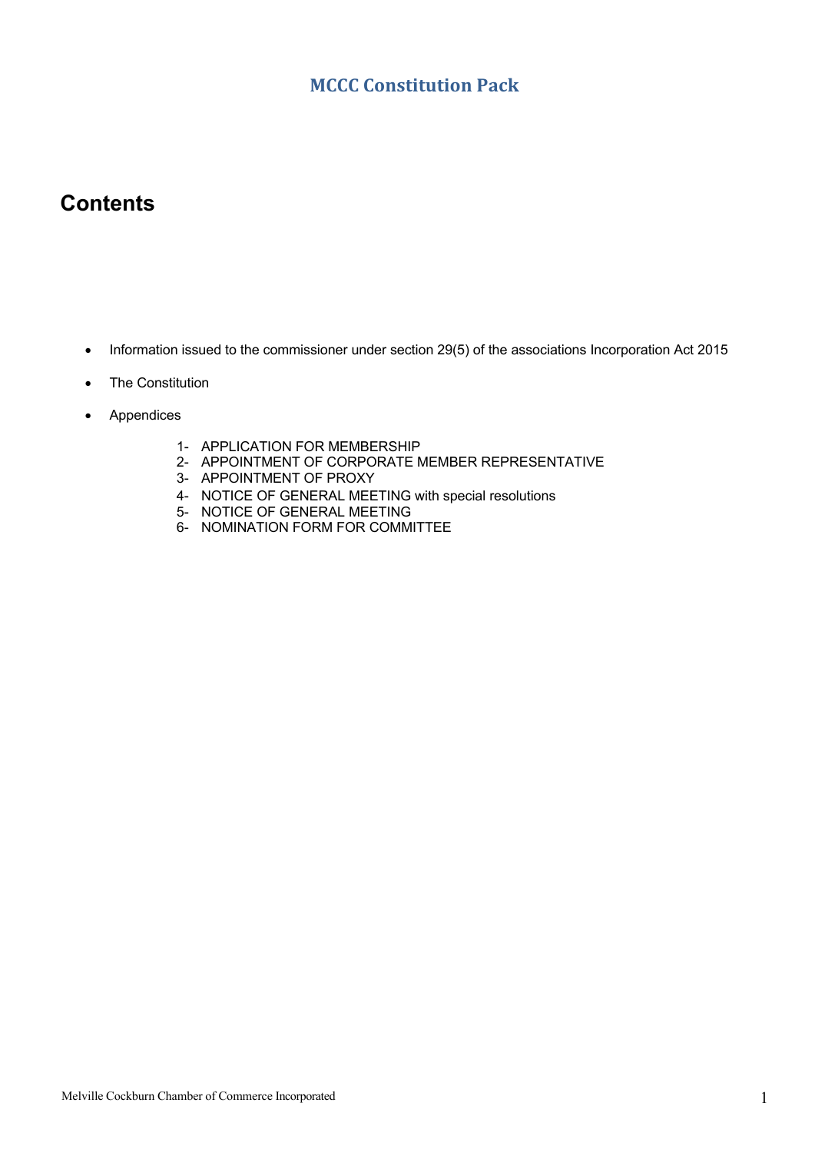#### **MCCC Constitution Pack**

## **Contents**

- Information issued to the commissioner under section 29(5) of the associations Incorporation Act 2015
- The Constitution
- Appendices
	- 1- APPLICATION FOR MEMBERSHIP
	- 2- APPOINTMENT OF CORPORATE MEMBER REPRESENTATIVE
	- 3- APPOINTMENT OF PROXY
	- 4- NOTICE OF GENERAL MEETING with special resolutions
	- 5- NOTICE OF GENERAL MEETING
	- 6- NOMINATION FORM FOR COMMITTEE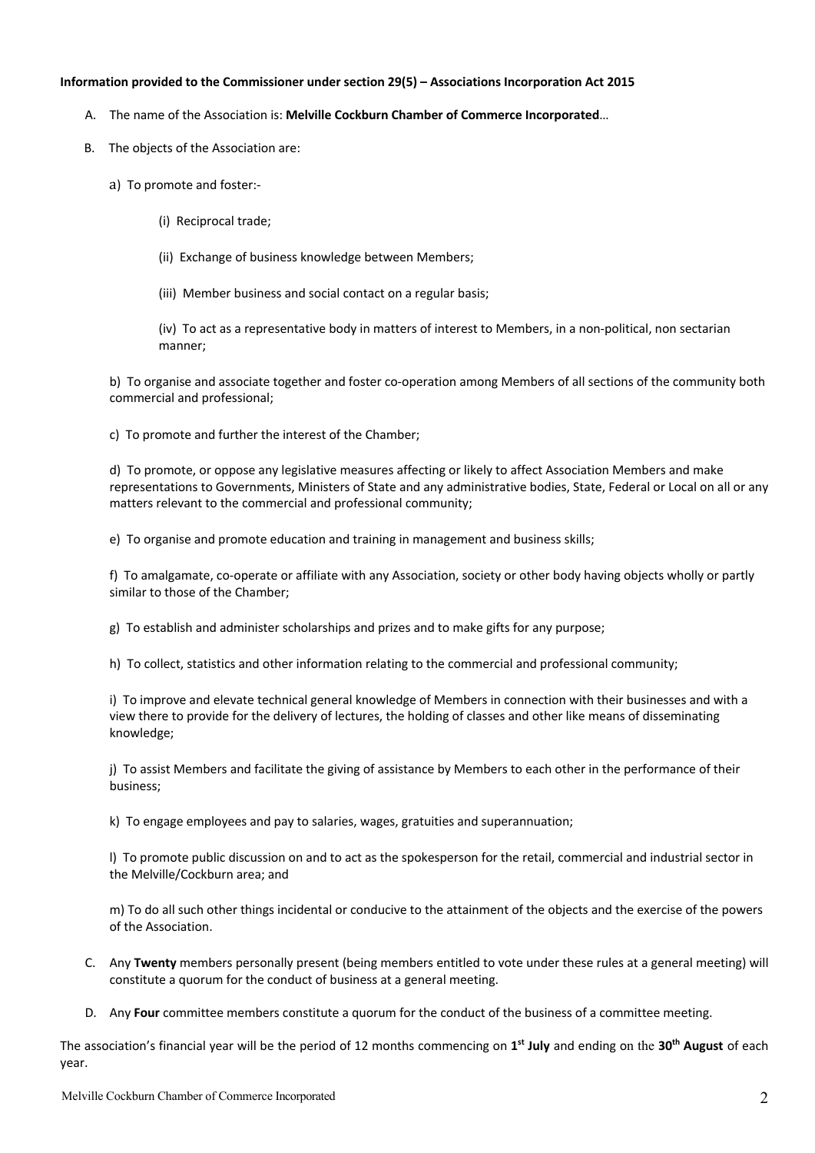#### **Information provided to the Commissioner under section 29(5) – Associations Incorporation Act 2015**

- A. The name of the Association is: **Melville Cockburn Chamber of Commerce Incorporated**…
- B. The objects of the Association are:
	- a) To promote and foster:-
		- (i) Reciprocal trade;
		- (ii) Exchange of business knowledge between Members;
		- (iii) Member business and social contact on a regular basis;

(iv) To act as a representative body in matters of interest to Members, in a non-political, non sectarian manner;

b) To organise and associate together and foster co-operation among Members of all sections of the community both commercial and professional;

c) To promote and further the interest of the Chamber;

d) To promote, or oppose any legislative measures affecting or likely to affect Association Members and make representations to Governments, Ministers of State and any administrative bodies, State, Federal or Local on all or any matters relevant to the commercial and professional community;

e) To organise and promote education and training in management and business skills;

f) To amalgamate, co-operate or affiliate with any Association, society or other body having objects wholly or partly similar to those of the Chamber;

g) To establish and administer scholarships and prizes and to make gifts for any purpose;

h) To collect, statistics and other information relating to the commercial and professional community;

i) To improve and elevate technical general knowledge of Members in connection with their businesses and with a view there to provide for the delivery of lectures, the holding of classes and other like means of disseminating knowledge;

j) To assist Members and facilitate the giving of assistance by Members to each other in the performance of their business;

k) To engage employees and pay to salaries, wages, gratuities and superannuation;

l) To promote public discussion on and to act as the spokesperson for the retail, commercial and industrial sector in the Melville/Cockburn area; and

m) To do all such other things incidental or conducive to the attainment of the objects and the exercise of the powers of the Association.

- C. Any **Twenty** members personally present (being members entitled to vote under these rules at a general meeting) will constitute a quorum for the conduct of business at a general meeting.
- D. Any **Four** committee members constitute a quorum for the conduct of the business of a committee meeting.

The association's financial year will be the period of 12 months commencing on **1st July** and ending on the **30th August** of each year.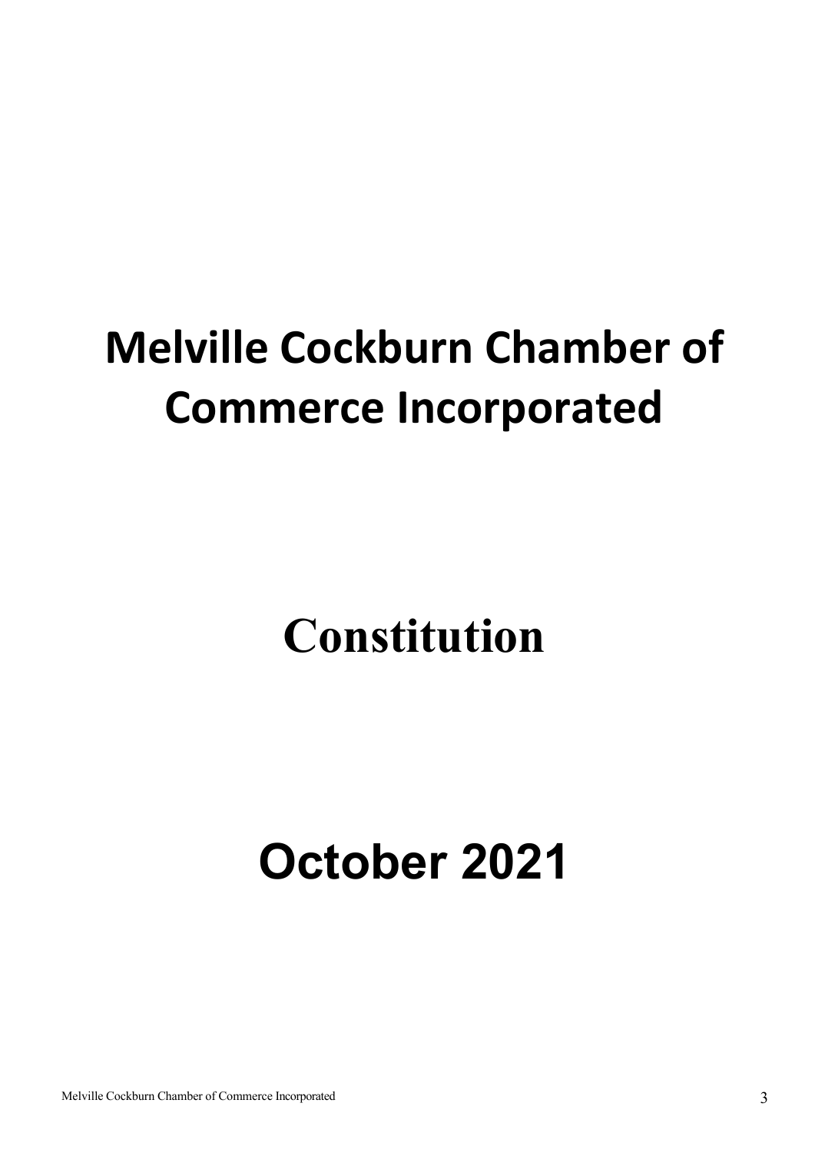# **Melville Cockburn Chamber of Commerce Incorporated**

# **Constitution**

# **October 2021**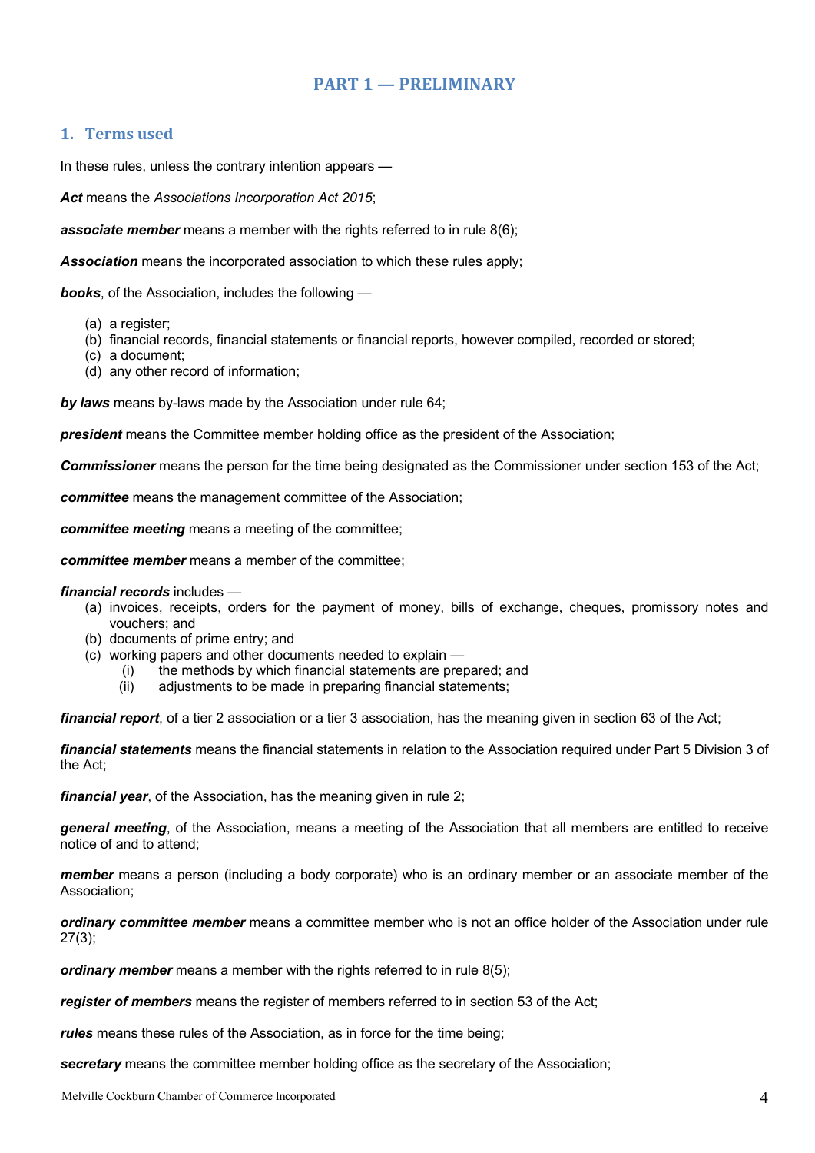#### **PART 1 — PRELIMINARY**

#### **1. Terms used**

In these rules, unless the contrary intention appears —

*Act* means the *Associations Incorporation Act 2015*;

*associate member* means a member with the rights referred to in rule 8(6);

*Association* means the incorporated association to which these rules apply;

*books*, of the Association, includes the following —

- (a) a register;
- (b) financial records, financial statements or financial reports, however compiled, recorded or stored;
- (c) a document;
- (d) any other record of information;

*by laws* means by-laws made by the Association under rule 64;

*president* means the Committee member holding office as the president of the Association;

*Commissioner* means the person for the time being designated as the Commissioner under section 153 of the Act;

*committee* means the management committee of the Association;

*committee meeting* means a meeting of the committee;

*committee member* means a member of the committee;

*financial records* includes —

- (a) invoices, receipts, orders for the payment of money, bills of exchange, cheques, promissory notes and vouchers; and
- (b) documents of prime entry; and
- (c) working papers and other documents needed to explain
	- (i) the methods by which financial statements are prepared; and
	- (ii) adjustments to be made in preparing financial statements;

*financial report*, of a tier 2 association or a tier 3 association, has the meaning given in section 63 of the Act;

*financial statements* means the financial statements in relation to the Association required under Part 5 Division 3 of the Act;

*financial year*, of the Association, has the meaning given in rule 2;

*general meeting*, of the Association, means a meeting of the Association that all members are entitled to receive notice of and to attend;

*member* means a person (including a body corporate) who is an ordinary member or an associate member of the Association;

*ordinary committee member* means a committee member who is not an office holder of the Association under rule 27(3);

*ordinary member* means a member with the rights referred to in rule 8(5);

*register of members* means the register of members referred to in section 53 of the Act;

*rules* means these rules of the Association, as in force for the time being;

*secretary* means the committee member holding office as the secretary of the Association;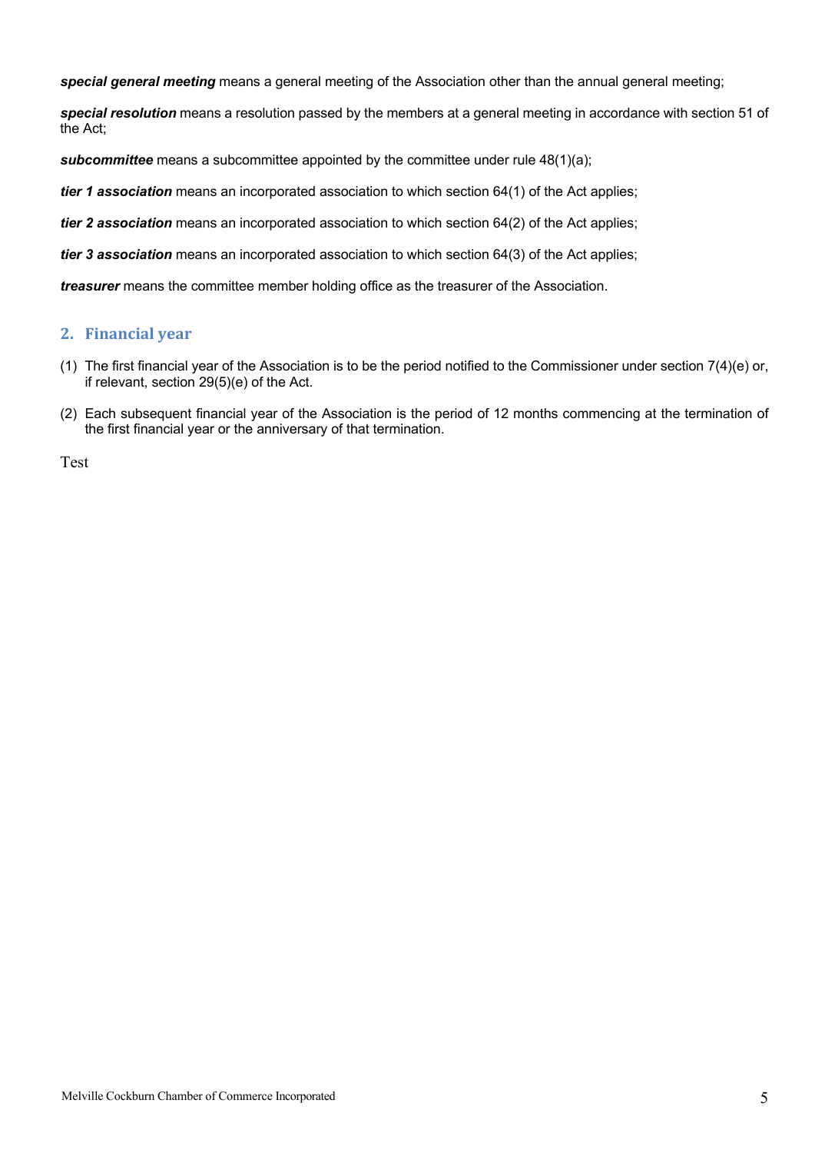*special general meeting* means a general meeting of the Association other than the annual general meeting;

*special resolution* means a resolution passed by the members at a general meeting in accordance with section 51 of the Act;

**subcommittee** means a subcommittee appointed by the committee under rule 48(1)(a);

*tier 1 association* means an incorporated association to which section 64(1) of the Act applies;

*tier 2 association* means an incorporated association to which section 64(2) of the Act applies;

*tier 3 association* means an incorporated association to which section 64(3) of the Act applies;

*treasurer* means the committee member holding office as the treasurer of the Association.

#### **2. Financial year**

- (1) The first financial year of the Association is to be the period notified to the Commissioner under section 7(4)(e) or, if relevant, section 29(5)(e) of the Act.
- (2) Each subsequent financial year of the Association is the period of 12 months commencing at the termination of the first financial year or the anniversary of that termination.

Test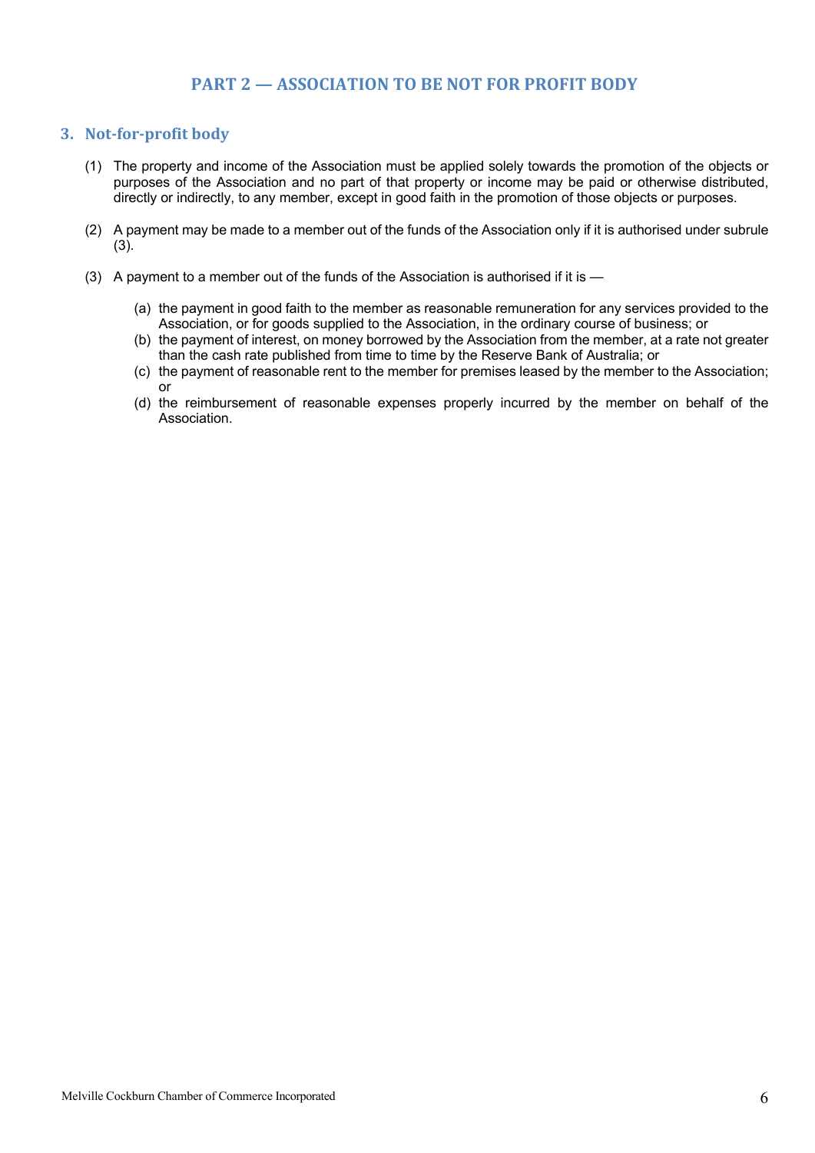#### **PART 2 — ASSOCIATION TO BE NOT FOR PROFIT BODY**

#### **3.** Not-for-profit body

- (1) The property and income of the Association must be applied solely towards the promotion of the objects or purposes of the Association and no part of that property or income may be paid or otherwise distributed, directly or indirectly, to any member, except in good faith in the promotion of those objects or purposes.
- (2) A payment may be made to a member out of the funds of the Association only if it is authorised under subrule (3).
- (3) A payment to a member out of the funds of the Association is authorised if it is
	- (a) the payment in good faith to the member as reasonable remuneration for any services provided to the Association, or for goods supplied to the Association, in the ordinary course of business; or
	- (b) the payment of interest, on money borrowed by the Association from the member, at a rate not greater than the cash rate published from time to time by the Reserve Bank of Australia; or
	- (c) the payment of reasonable rent to the member for premises leased by the member to the Association; or
	- (d) the reimbursement of reasonable expenses properly incurred by the member on behalf of the Association.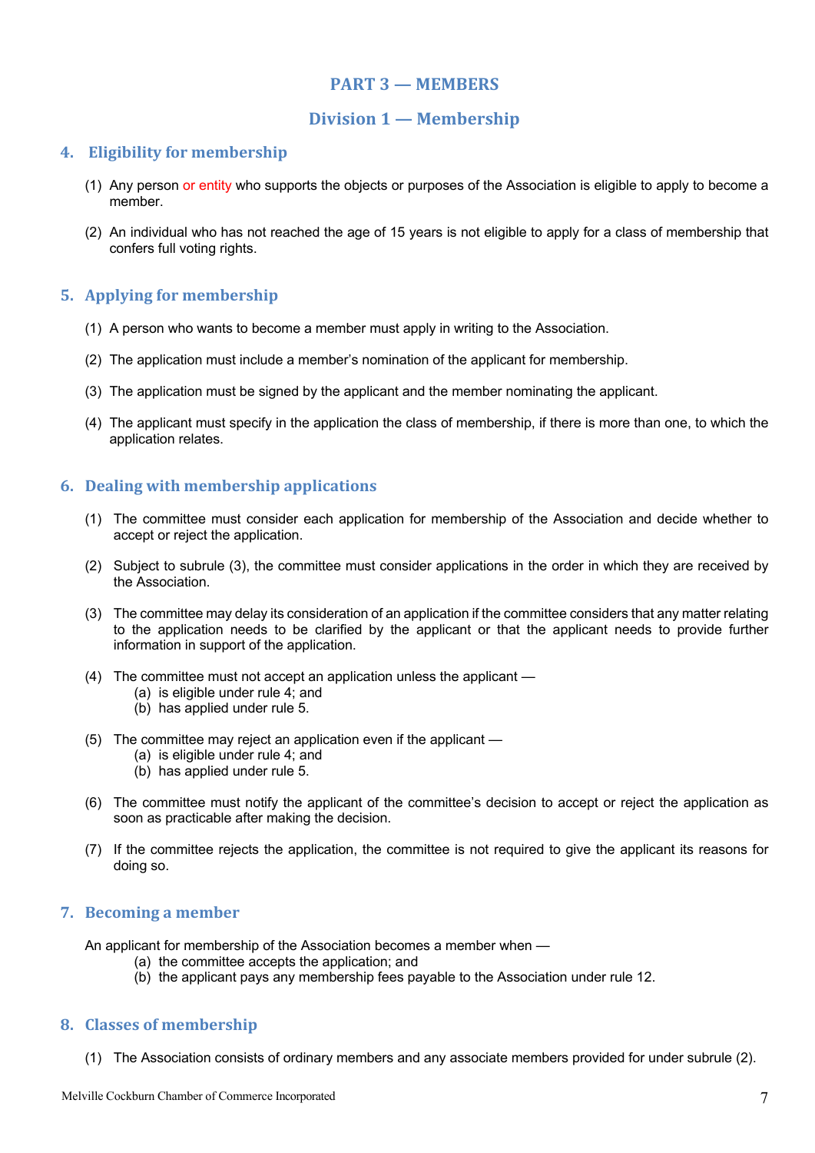#### **PART 3 — MEMBERS**

#### **Division 1 — Membership**

#### **4.** Eligibility for membership

- (1) Any person or entity who supports the objects or purposes of the Association is eligible to apply to become a member.
- (2) An individual who has not reached the age of 15 years is not eligible to apply for a class of membership that confers full voting rights.

#### **5.** Applying for membership

- (1) A person who wants to become a member must apply in writing to the Association.
- (2) The application must include a member's nomination of the applicant for membership.
- (3) The application must be signed by the applicant and the member nominating the applicant.
- (4) The applicant must specify in the application the class of membership, if there is more than one, to which the application relates.

#### **6. Dealing with membership applications**

- (1) The committee must consider each application for membership of the Association and decide whether to accept or reject the application.
- (2) Subject to subrule (3), the committee must consider applications in the order in which they are received by the Association.
- (3) The committee may delay its consideration of an application if the committee considers that any matter relating to the application needs to be clarified by the applicant or that the applicant needs to provide further information in support of the application.
- (4) The committee must not accept an application unless the applicant
	- (a) is eligible under rule 4; and
	- (b) has applied under rule 5.
- (5) The committee may reject an application even if the applicant
	- (a) is eligible under rule 4; and
	- (b) has applied under rule 5.
- (6) The committee must notify the applicant of the committee's decision to accept or reject the application as soon as practicable after making the decision.
- (7) If the committee rejects the application, the committee is not required to give the applicant its reasons for doing so.

#### **7.** Becoming a member

An applicant for membership of the Association becomes a member when —

- (a) the committee accepts the application; and
- (b) the applicant pays any membership fees payable to the Association under rule 12.

#### **8.** Classes of membership

(1) The Association consists of ordinary members and any associate members provided for under subrule (2).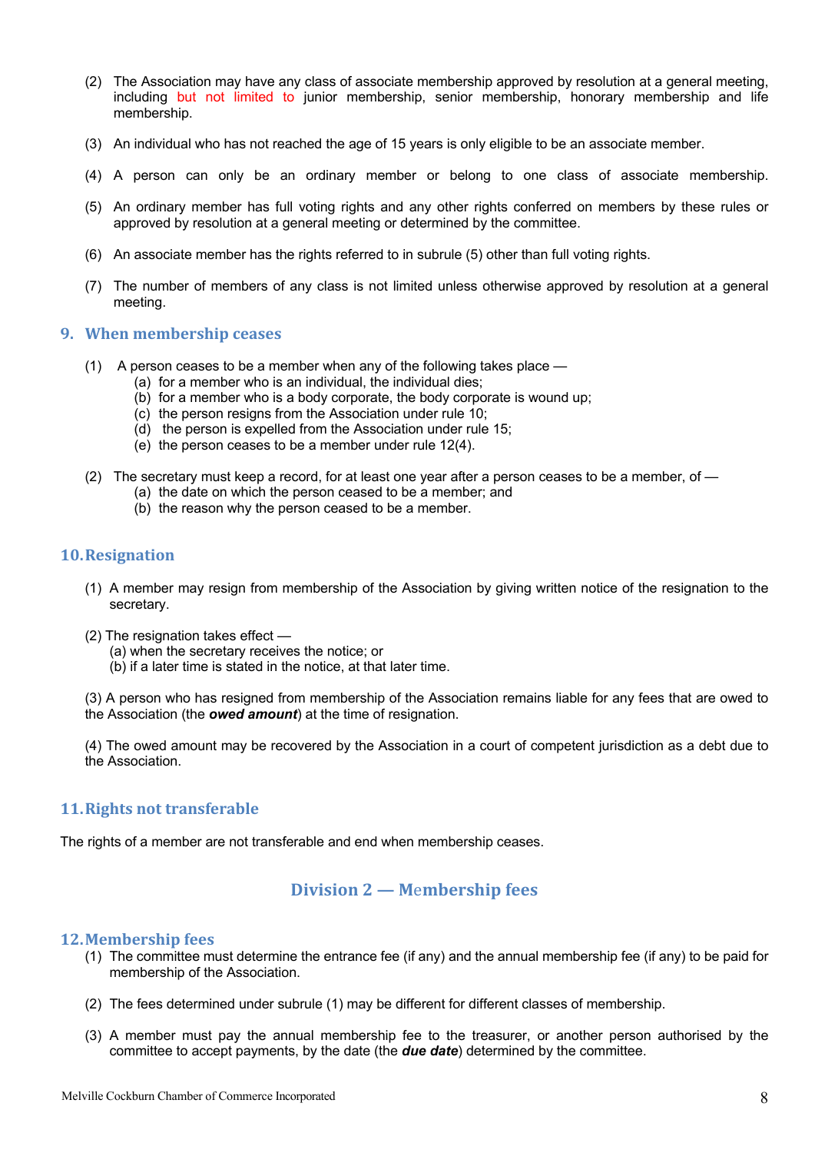- (2) The Association may have any class of associate membership approved by resolution at a general meeting, including but not limited to junior membership, senior membership, honorary membership and life membership.
- (3) An individual who has not reached the age of 15 years is only eligible to be an associate member.
- (4) A person can only be an ordinary member or belong to one class of associate membership.
- (5) An ordinary member has full voting rights and any other rights conferred on members by these rules or approved by resolution at a general meeting or determined by the committee.
- (6) An associate member has the rights referred to in subrule (5) other than full voting rights.
- (7) The number of members of any class is not limited unless otherwise approved by resolution at a general meeting.

#### **9.** When membership ceases

- (1) A person ceases to be a member when any of the following takes place
	- (a) for a member who is an individual, the individual dies;
	- (b) for a member who is a body corporate, the body corporate is wound up;
	- (c) the person resigns from the Association under rule 10;
	- (d) the person is expelled from the Association under rule 15;
	- (e) the person ceases to be a member under rule 12(4).
- (2) The secretary must keep a record, for at least one year after a person ceases to be a member, of
	- (a) the date on which the person ceased to be a member; and
	- (b) the reason why the person ceased to be a member.

#### **10.Resignation**

- (1) A member may resign from membership of the Association by giving written notice of the resignation to the secretary.
- (2) The resignation takes effect
	- (a) when the secretary receives the notice; or
	- (b) if a later time is stated in the notice, at that later time.

(3) A person who has resigned from membership of the Association remains liable for any fees that are owed to the Association (the *owed amount*) at the time of resignation.

(4) The owed amount may be recovered by the Association in a court of competent jurisdiction as a debt due to the Association.

#### **11. Rights not transferable**

The rights of a member are not transferable and end when membership ceases.

#### **Division 2 — M**e**mbership fees**

#### **12.Membership fees**

- (1) The committee must determine the entrance fee (if any) and the annual membership fee (if any) to be paid for membership of the Association.
- (2) The fees determined under subrule (1) may be different for different classes of membership.
- (3) A member must pay the annual membership fee to the treasurer, or another person authorised by the committee to accept payments, by the date (the *due date*) determined by the committee.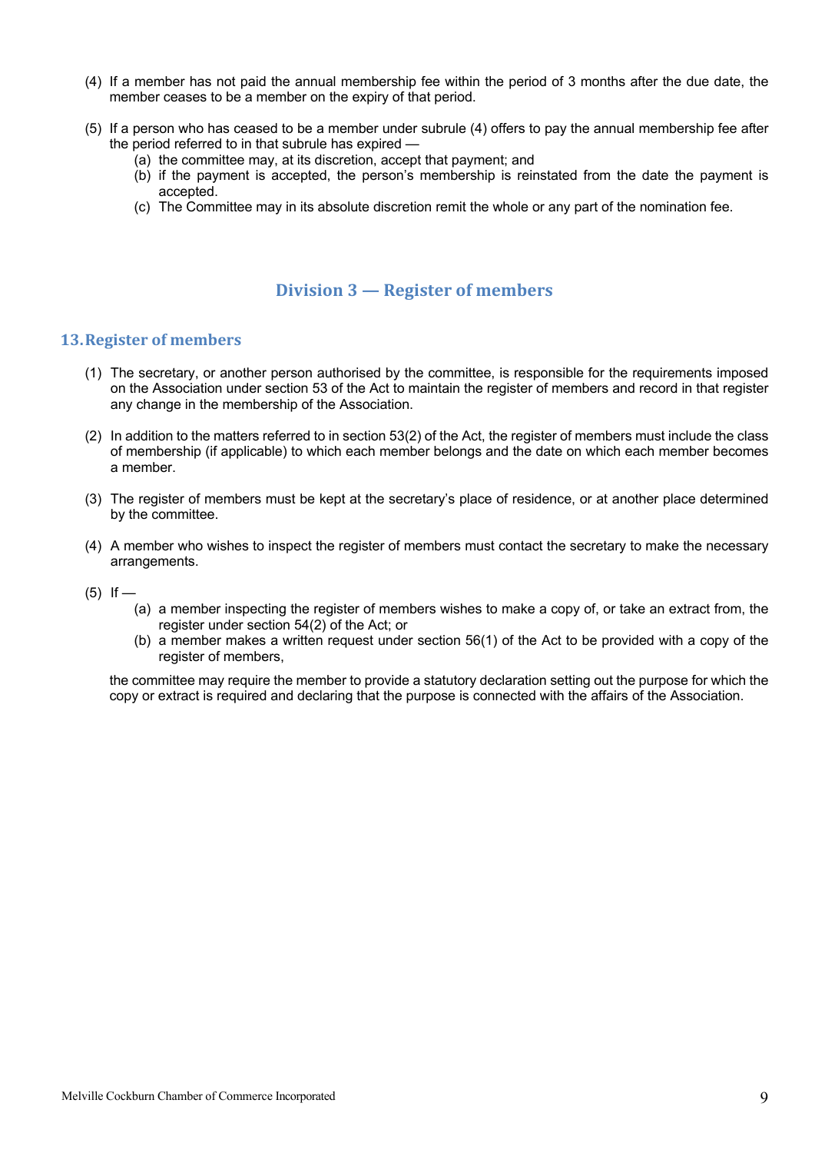- (4) If a member has not paid the annual membership fee within the period of 3 months after the due date, the member ceases to be a member on the expiry of that period.
- (5) If a person who has ceased to be a member under subrule (4) offers to pay the annual membership fee after the period referred to in that subrule has expired —
	- (a) the committee may, at its discretion, accept that payment; and
	- (b) if the payment is accepted, the person's membership is reinstated from the date the payment is accepted.
	- (c) The Committee may in its absolute discretion remit the whole or any part of the nomination fee.

#### **Division 3 — Register of members**

#### **13. Register of members**

- (1) The secretary, or another person authorised by the committee, is responsible for the requirements imposed on the Association under section 53 of the Act to maintain the register of members and record in that register any change in the membership of the Association.
- (2) In addition to the matters referred to in section 53(2) of the Act, the register of members must include the class of membership (if applicable) to which each member belongs and the date on which each member becomes a member.
- (3) The register of members must be kept at the secretary's place of residence, or at another place determined by the committee.
- (4) A member who wishes to inspect the register of members must contact the secretary to make the necessary arrangements.
- $(5)$  If
	- (a) a member inspecting the register of members wishes to make a copy of, or take an extract from, the register under section 54(2) of the Act; or
	- (b) a member makes a written request under section 56(1) of the Act to be provided with a copy of the register of members,

the committee may require the member to provide a statutory declaration setting out the purpose for which the copy or extract is required and declaring that the purpose is connected with the affairs of the Association.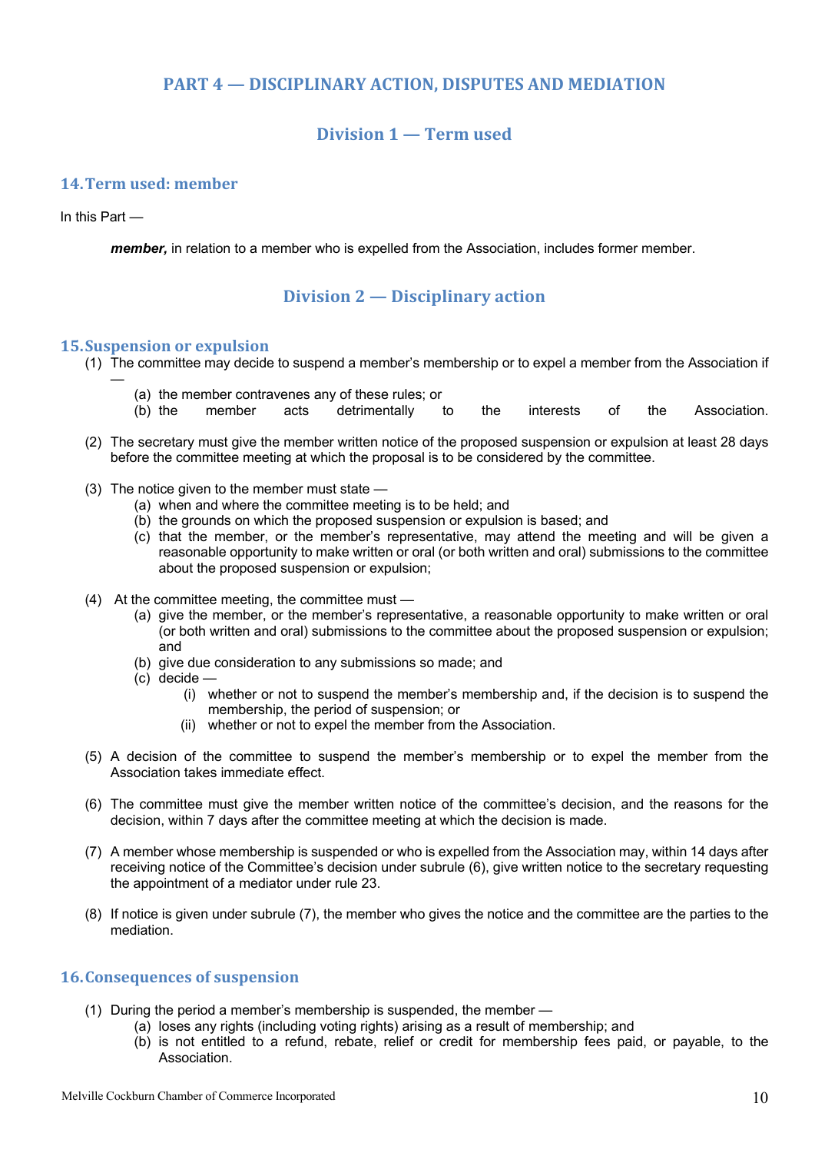#### **PART 4 – DISCIPLINARY ACTION, DISPUTES AND MEDIATION**

#### **Division 1 — Term used**

#### **14.Term used: member**

#### In this Part —

—

*member,* in relation to a member who is expelled from the Association, includes former member.

#### **Division 2 — Disciplinary action**

#### **15. Suspension or expulsion**

- (1) The committee may decide to suspend a member's membership or to expel a member from the Association if
	- (a) the member contravenes any of these rules; or
	- (b) the member acts detrimentally to the interests of the Association.
- (2) The secretary must give the member written notice of the proposed suspension or expulsion at least 28 days before the committee meeting at which the proposal is to be considered by the committee.
- (3) The notice given to the member must state
	- (a) when and where the committee meeting is to be held; and
	- (b) the grounds on which the proposed suspension or expulsion is based; and
	- (c) that the member, or the member's representative, may attend the meeting and will be given a reasonable opportunity to make written or oral (or both written and oral) submissions to the committee about the proposed suspension or expulsion;
- (4) At the committee meeting, the committee must
	- (a) give the member, or the member's representative, a reasonable opportunity to make written or oral (or both written and oral) submissions to the committee about the proposed suspension or expulsion; and
	- (b) give due consideration to any submissions so made; and
	- (c) decide
		- (i) whether or not to suspend the member's membership and, if the decision is to suspend the membership, the period of suspension; or
		- (ii) whether or not to expel the member from the Association.
- (5) A decision of the committee to suspend the member's membership or to expel the member from the Association takes immediate effect.
- (6) The committee must give the member written notice of the committee's decision, and the reasons for the decision, within 7 days after the committee meeting at which the decision is made.
- (7) A member whose membership is suspended or who is expelled from the Association may, within 14 days after receiving notice of the Committee's decision under subrule (6), give written notice to the secretary requesting the appointment of a mediator under rule 23.
- (8) If notice is given under subrule (7), the member who gives the notice and the committee are the parties to the mediation.

#### **16. Consequences of suspension**

- (1) During the period a member's membership is suspended, the member
	- (a) loses any rights (including voting rights) arising as a result of membership; and
		- (b) is not entitled to a refund, rebate, relief or credit for membership fees paid, or payable, to the Association.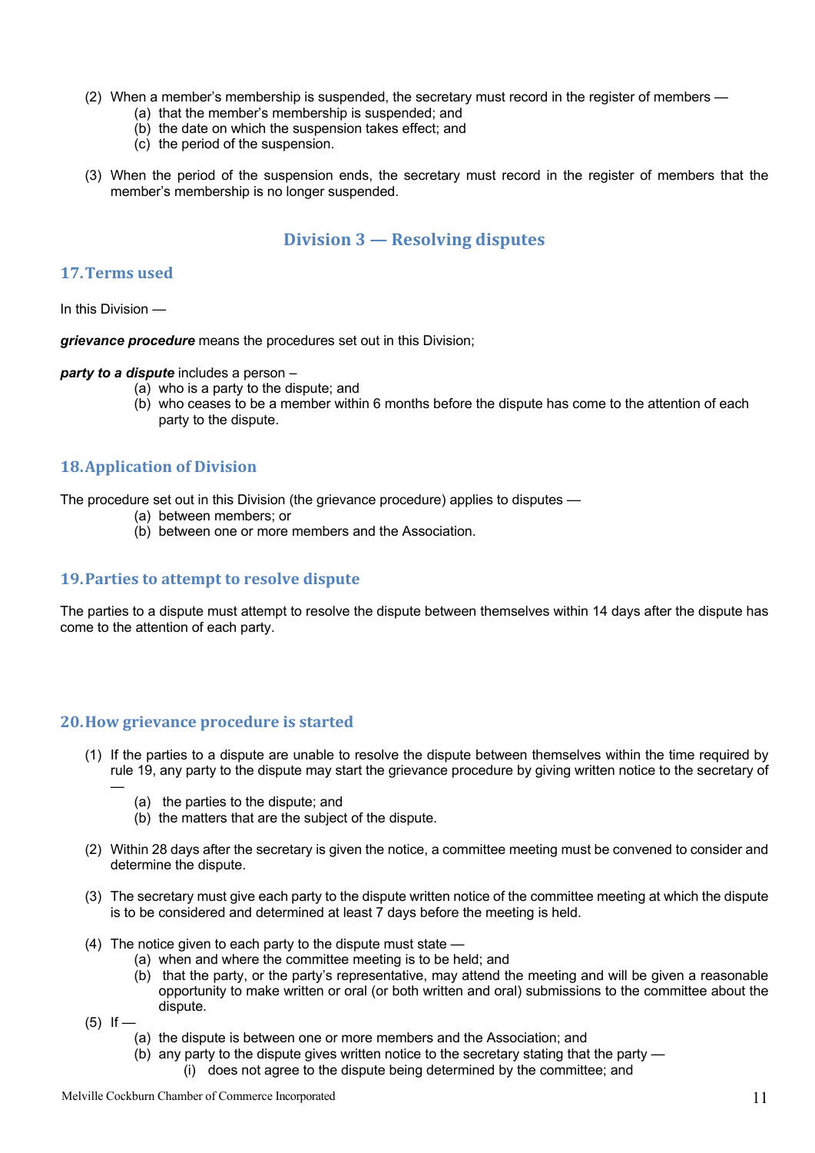- (2) When a member's membership is suspended, the secretary must record in the register of members
	- (a) that the member's membership is suspended; and
	- (b) the date on which the suspension takes effect; and
	- (c) the period of the suspension.
- (3) When the period of the suspension ends, the secretary must record in the register of members that the member's membership is no longer suspended.

#### **Division 3 — Resolving disputes**

#### **17.Terms used**

In this Division —

*grievance procedure* means the procedures set out in this Division;

*party to a dispute* includes a person –

- (a) who is a party to the dispute; and
- (b) who ceases to be a member within 6 months before the dispute has come to the attention of each party to the dispute.

#### **18.Application of Division**

The procedure set out in this Division (the grievance procedure) applies to disputes —

- (a) between members; or
- (b) between one or more members and the Association.

#### **19. Parties to attempt to resolve dispute**

The parties to a dispute must attempt to resolve the dispute between themselves within 14 days after the dispute has come to the attention of each party.

#### **20. How grievance procedure is started**

- (1) If the parties to a dispute are unable to resolve the dispute between themselves within the time required by rule 19, any party to the dispute may start the grievance procedure by giving written notice to the secretary of
	- (a) the parties to the dispute; and
	- (b) the matters that are the subject of the dispute.
- (2) Within 28 days after the secretary is given the notice, a committee meeting must be convened to consider and determine the dispute.
- (3) The secretary must give each party to the dispute written notice of the committee meeting at which the dispute is to be considered and determined at least 7 days before the meeting is held.
- (4) The notice given to each party to the dispute must state
	- (a) when and where the committee meeting is to be held; and
	- (b) that the party, or the party's representative, may attend the meeting and will be given a reasonable opportunity to make written or oral (or both written and oral) submissions to the committee about the dispute.
- $(5)$  If —

—

- (a) the dispute is between one or more members and the Association; and
- (b) any party to the dispute gives written notice to the secretary stating that the party
	- (i) does not agree to the dispute being determined by the committee; and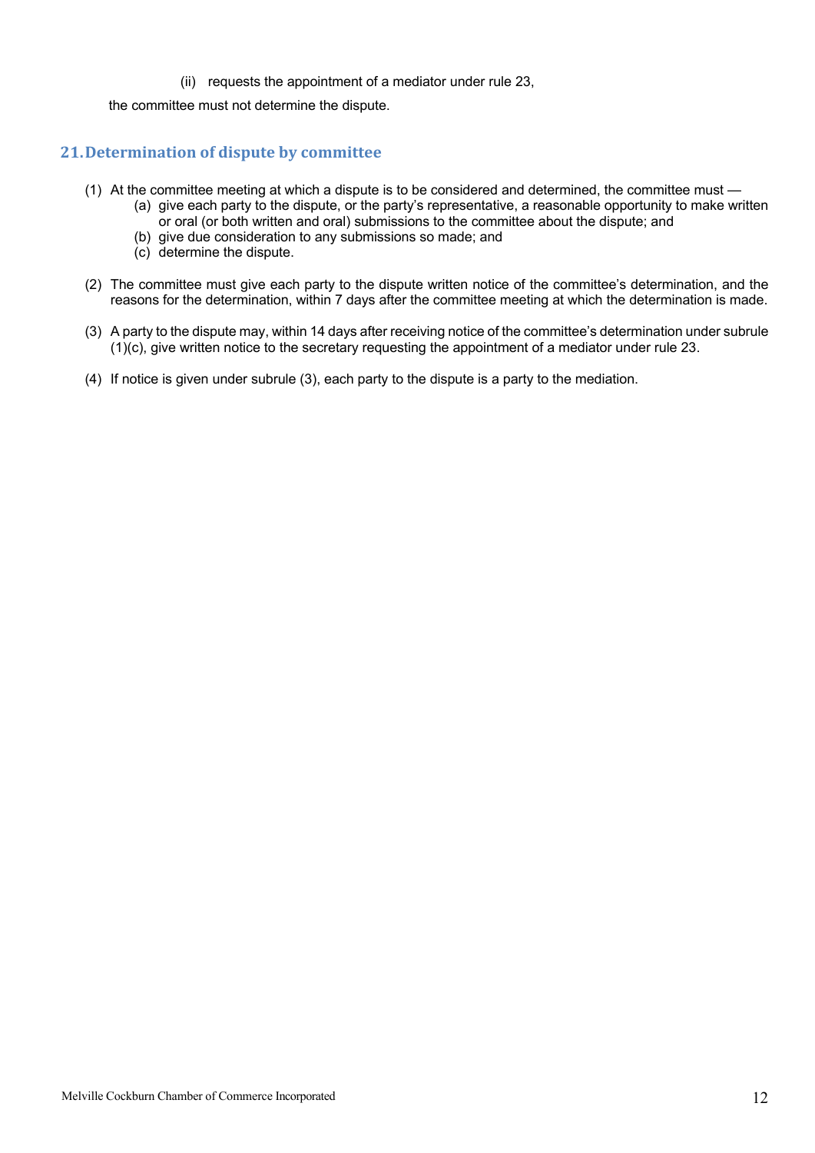#### (ii) requests the appointment of a mediator under rule 23,

the committee must not determine the dispute.

#### **21. Determination of dispute by committee**

- (1) At the committee meeting at which a dispute is to be considered and determined, the committee must
	- (a) give each party to the dispute, or the party's representative, a reasonable opportunity to make written or oral (or both written and oral) submissions to the committee about the dispute; and
		- (b) give due consideration to any submissions so made; and
		- (c) determine the dispute.
- (2) The committee must give each party to the dispute written notice of the committee's determination, and the reasons for the determination, within 7 days after the committee meeting at which the determination is made.
- (3) A party to the dispute may, within 14 days after receiving notice of the committee's determination under subrule (1)(c), give written notice to the secretary requesting the appointment of a mediator under rule 23.
- (4) If notice is given under subrule (3), each party to the dispute is a party to the mediation.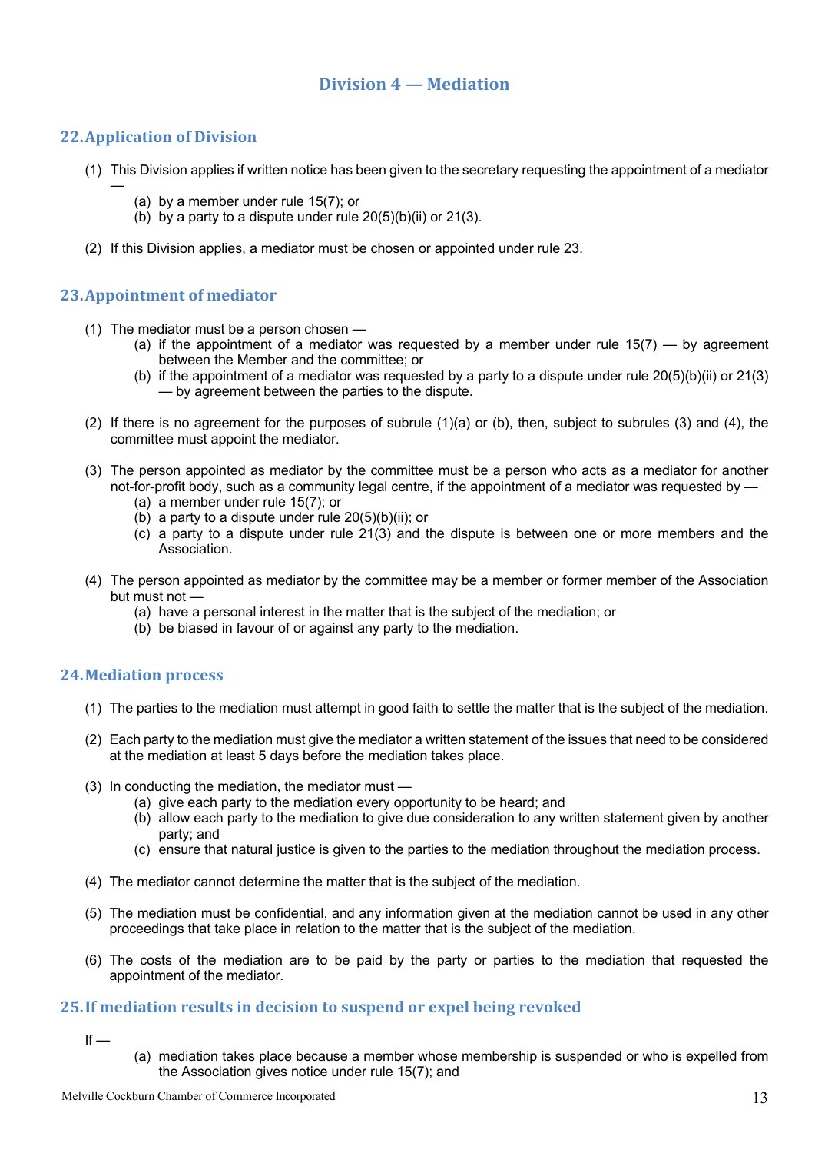#### **Division 4 — Mediation**

#### **22.Application of Division**

—

- (1) This Division applies if written notice has been given to the secretary requesting the appointment of a mediator
	- (a) by a member under rule 15(7); or
	- (b) by a party to a dispute under rule  $20(5)(b)(ii)$  or  $21(3)$ .
- (2) If this Division applies, a mediator must be chosen or appointed under rule 23.

#### **23.Appointment of mediator**

- (1) The mediator must be a person chosen
	- (a) if the appointment of a mediator was requested by a member under rule  $15(7)$  by agreement between the Member and the committee; or
	- (b) if the appointment of a mediator was requested by a party to a dispute under rule  $20(5)(b)(ii)$  or  $21(3)$ — by agreement between the parties to the dispute.
- (2) If there is no agreement for the purposes of subrule (1)(a) or (b), then, subject to subrules (3) and (4), the committee must appoint the mediator.
- (3) The person appointed as mediator by the committee must be a person who acts as a mediator for another not-for-profit body, such as a community legal centre, if the appointment of a mediator was requested by —
	- (a) a member under rule 15(7); or
	- (b) a party to a dispute under rule  $20(5)(b)(ii)$ ; or
	- (c) a party to a dispute under rule 21(3) and the dispute is between one or more members and the Association.
- (4) The person appointed as mediator by the committee may be a member or former member of the Association but must not —
	- (a) have a personal interest in the matter that is the subject of the mediation; or
	- (b) be biased in favour of or against any party to the mediation.

#### **24.Mediation process**

- (1) The parties to the mediation must attempt in good faith to settle the matter that is the subject of the mediation.
- (2) Each party to the mediation must give the mediator a written statement of the issues that need to be considered at the mediation at least 5 days before the mediation takes place.
- (3) In conducting the mediation, the mediator must
	- (a) give each party to the mediation every opportunity to be heard; and
	- (b) allow each party to the mediation to give due consideration to any written statement given by another party; and
	- (c) ensure that natural justice is given to the parties to the mediation throughout the mediation process.
- (4) The mediator cannot determine the matter that is the subject of the mediation.
- (5) The mediation must be confidential, and any information given at the mediation cannot be used in any other proceedings that take place in relation to the matter that is the subject of the mediation.
- (6) The costs of the mediation are to be paid by the party or parties to the mediation that requested the appointment of the mediator.

#### **25.If mediation results in decision to suspend or expel being revoked**

 $If -$ 

(a) mediation takes place because a member whose membership is suspended or who is expelled from the Association gives notice under rule 15(7); and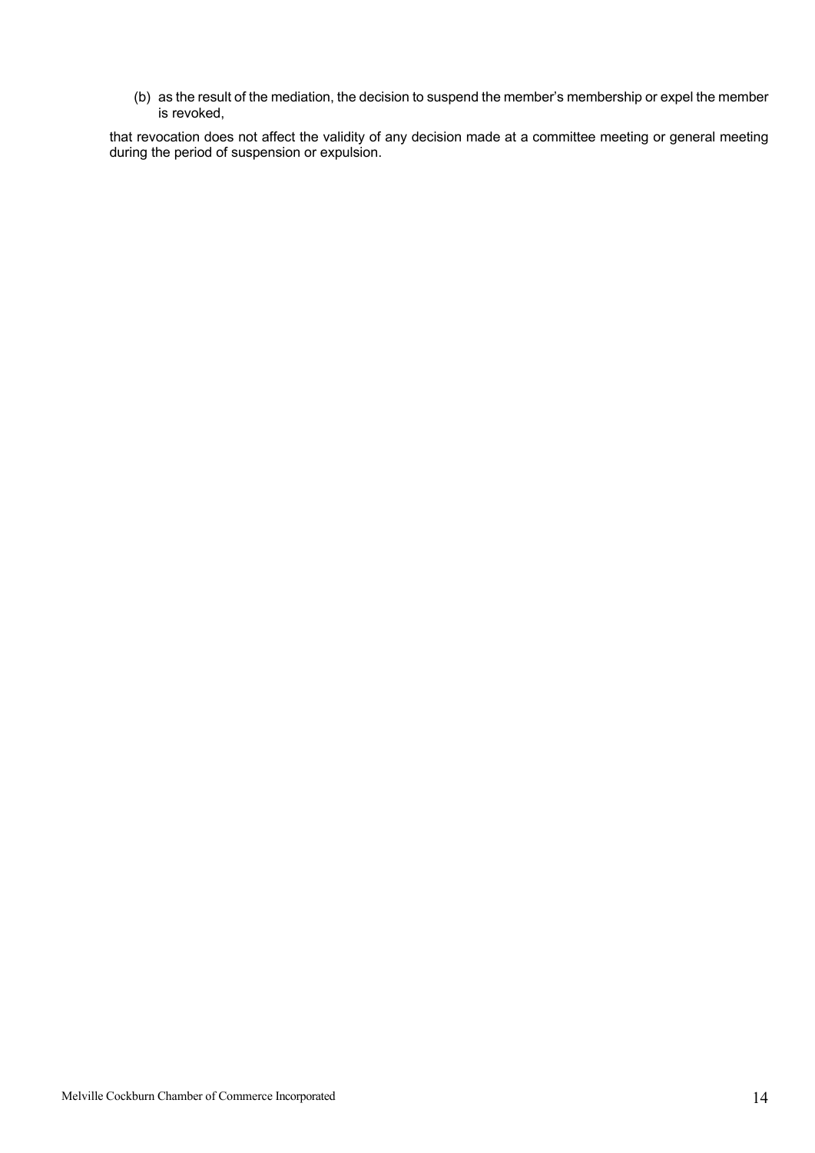(b) as the result of the mediation, the decision to suspend the member's membership or expel the member is revoked,

that revocation does not affect the validity of any decision made at a committee meeting or general meeting during the period of suspension or expulsion.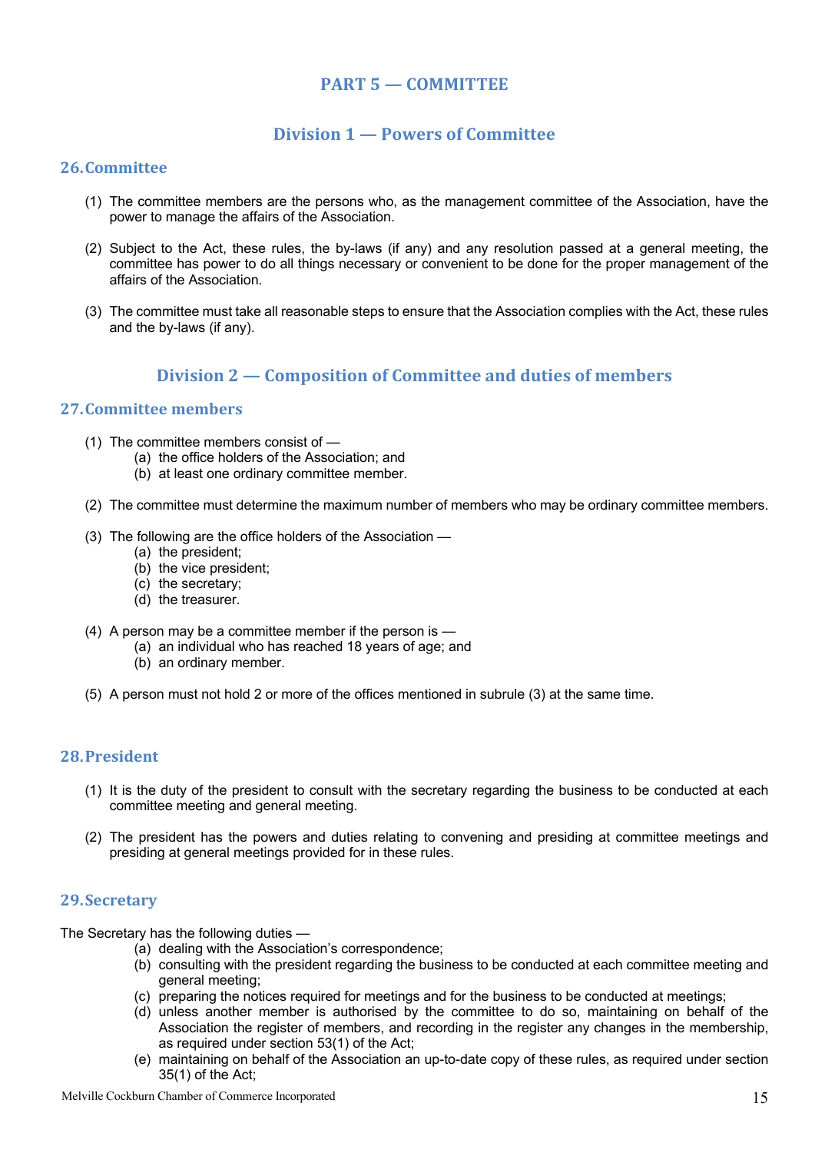#### **PART 5 — COMMITTEE**

#### **Division 1 — Powers of Committee**

#### **26.Committee**

- (1) The committee members are the persons who, as the management committee of the Association, have the power to manage the affairs of the Association.
- (2) Subject to the Act, these rules, the by-laws (if any) and any resolution passed at a general meeting, the committee has power to do all things necessary or convenient to be done for the proper management of the affairs of the Association.
- (3) The committee must take all reasonable steps to ensure that the Association complies with the Act, these rules and the by-laws (if any).

#### **Division 2 — Composition of Committee and duties of members**

#### **27.Committee members**

- (1) The committee members consist of
	- (a) the office holders of the Association; and
	- (b) at least one ordinary committee member.
- (2) The committee must determine the maximum number of members who may be ordinary committee members.
- (3) The following are the office holders of the Association
	- (a) the president;
	- (b) the vice president;
	- (c) the secretary;
	- (d) the treasurer.
- (4) A person may be a committee member if the person is
	- (a) an individual who has reached 18 years of age; and
	- (b) an ordinary member.
- (5) A person must not hold 2 or more of the offices mentioned in subrule (3) at the same time.

#### **28.President**

- (1) It is the duty of the president to consult with the secretary regarding the business to be conducted at each committee meeting and general meeting.
- (2) The president has the powers and duties relating to convening and presiding at committee meetings and presiding at general meetings provided for in these rules.

#### **29.Secretary**

The Secretary has the following duties —

- (a) dealing with the Association's correspondence;
- (b) consulting with the president regarding the business to be conducted at each committee meeting and general meeting;
- (c) preparing the notices required for meetings and for the business to be conducted at meetings;
- (d) unless another member is authorised by the committee to do so, maintaining on behalf of the Association the register of members, and recording in the register any changes in the membership, as required under section 53(1) of the Act;
- (e) maintaining on behalf of the Association an up-to-date copy of these rules, as required under section 35(1) of the Act;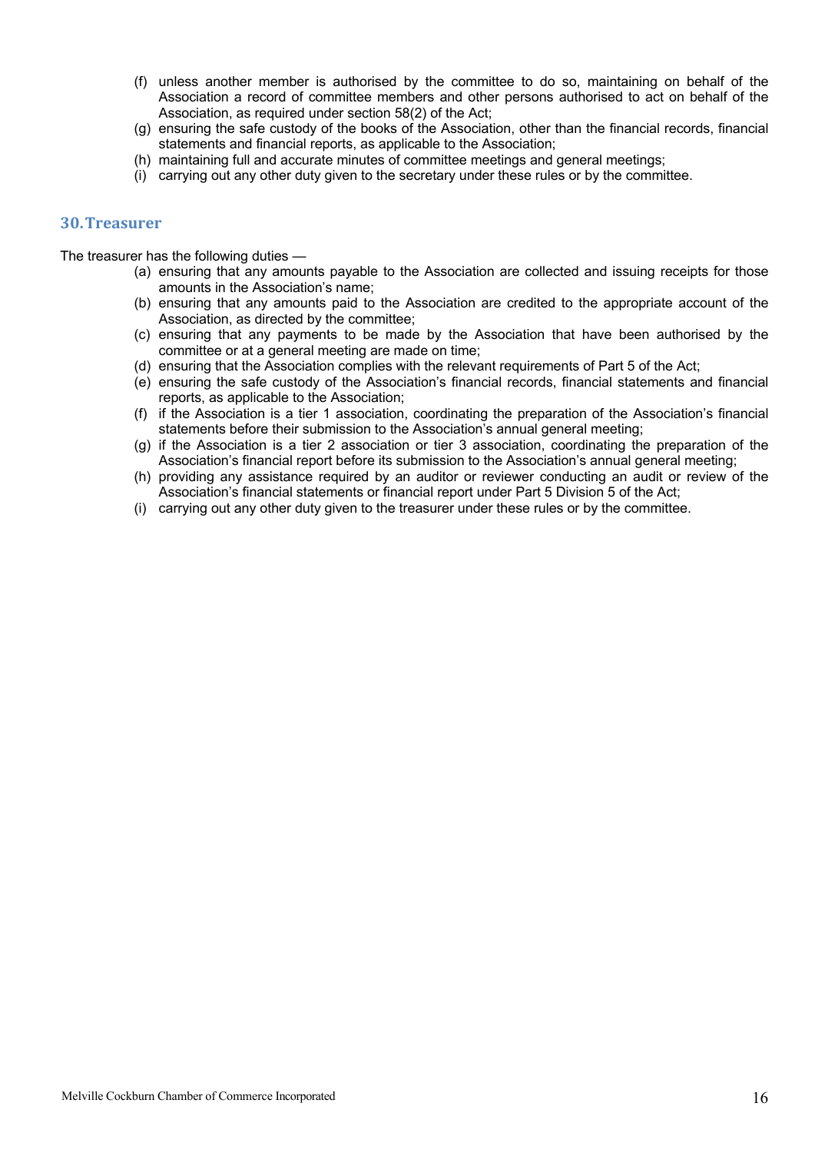- (f) unless another member is authorised by the committee to do so, maintaining on behalf of the Association a record of committee members and other persons authorised to act on behalf of the Association, as required under section 58(2) of the Act;
- (g) ensuring the safe custody of the books of the Association, other than the financial records, financial statements and financial reports, as applicable to the Association;
- (h) maintaining full and accurate minutes of committee meetings and general meetings;
- (i) carrying out any other duty given to the secretary under these rules or by the committee.

#### **30.Treasurer**

The treasurer has the following duties —

- (a) ensuring that any amounts payable to the Association are collected and issuing receipts for those amounts in the Association's name;
- (b) ensuring that any amounts paid to the Association are credited to the appropriate account of the Association, as directed by the committee;
- (c) ensuring that any payments to be made by the Association that have been authorised by the committee or at a general meeting are made on time;
- (d) ensuring that the Association complies with the relevant requirements of Part 5 of the Act;
- (e) ensuring the safe custody of the Association's financial records, financial statements and financial reports, as applicable to the Association;
- (f) if the Association is a tier 1 association, coordinating the preparation of the Association's financial statements before their submission to the Association's annual general meeting;
- (g) if the Association is a tier 2 association or tier 3 association, coordinating the preparation of the Association's financial report before its submission to the Association's annual general meeting;
- (h) providing any assistance required by an auditor or reviewer conducting an audit or review of the Association's financial statements or financial report under Part 5 Division 5 of the Act;
- (i) carrying out any other duty given to the treasurer under these rules or by the committee.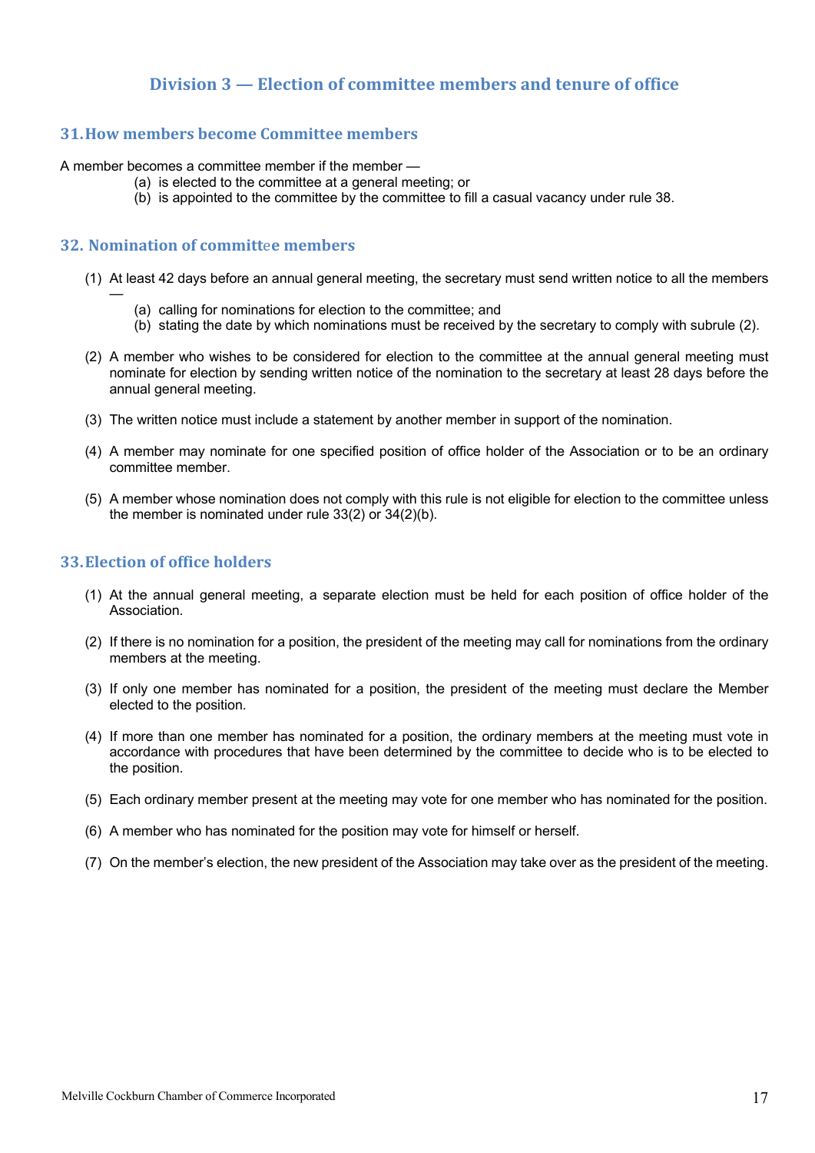#### **Division 3 — Election of committee members and tenure of office**

#### **31.How members become Committee members**

A member becomes a committee member if the member —

- (a) is elected to the committee at a general meeting; or
- (b) is appointed to the committee by the committee to fill a casual vacancy under rule 38.

#### **32. Nomination of committ**e**e members**

—

- (1) At least 42 days before an annual general meeting, the secretary must send written notice to all the members
	- (a) calling for nominations for election to the committee; and
	- (b) stating the date by which nominations must be received by the secretary to comply with subrule (2).
- (2) A member who wishes to be considered for election to the committee at the annual general meeting must nominate for election by sending written notice of the nomination to the secretary at least 28 days before the annual general meeting.
- (3) The written notice must include a statement by another member in support of the nomination.
- (4) A member may nominate for one specified position of office holder of the Association or to be an ordinary committee member.
- (5) A member whose nomination does not comply with this rule is not eligible for election to the committee unless the member is nominated under rule 33(2) or 34(2)(b).

#### **33. Election of office holders**

- (1) At the annual general meeting, a separate election must be held for each position of office holder of the Association.
- (2) If there is no nomination for a position, the president of the meeting may call for nominations from the ordinary members at the meeting.
- (3) If only one member has nominated for a position, the president of the meeting must declare the Member elected to the position.
- (4) If more than one member has nominated for a position, the ordinary members at the meeting must vote in accordance with procedures that have been determined by the committee to decide who is to be elected to the position.
- (5) Each ordinary member present at the meeting may vote for one member who has nominated for the position.
- (6) A member who has nominated for the position may vote for himself or herself.
- (7) On the member's election, the new president of the Association may take over as the president of the meeting.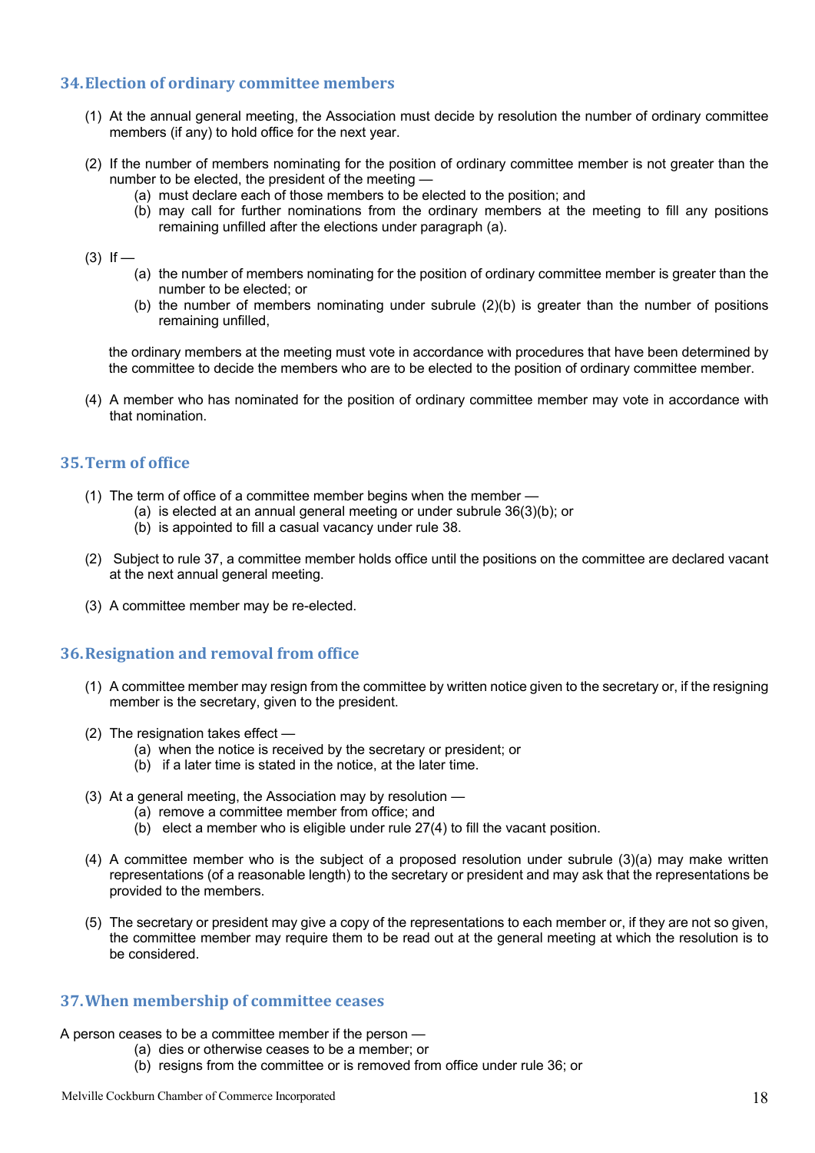#### **34.Election of ordinary committee members**

- (1) At the annual general meeting, the Association must decide by resolution the number of ordinary committee members (if any) to hold office for the next year.
- (2) If the number of members nominating for the position of ordinary committee member is not greater than the number to be elected, the president of the meeting —
	- (a) must declare each of those members to be elected to the position; and
	- (b) may call for further nominations from the ordinary members at the meeting to fill any positions remaining unfilled after the elections under paragraph (a).

#### $(3)$  If —

- (a) the number of members nominating for the position of ordinary committee member is greater than the number to be elected; or
- (b) the number of members nominating under subrule (2)(b) is greater than the number of positions remaining unfilled,

the ordinary members at the meeting must vote in accordance with procedures that have been determined by the committee to decide the members who are to be elected to the position of ordinary committee member.

(4) A member who has nominated for the position of ordinary committee member may vote in accordance with that nomination.

#### **35.Term of office**

- (1) The term of office of a committee member begins when the member
	- (a) is elected at an annual general meeting or under subrule 36(3)(b); or
	- (b) is appointed to fill a casual vacancy under rule 38.
- (2) Subject to rule 37, a committee member holds office until the positions on the committee are declared vacant at the next annual general meeting.
- (3) A committee member may be re-elected.

#### **36. Resignation and removal from office**

- (1) A committee member may resign from the committee by written notice given to the secretary or, if the resigning member is the secretary, given to the president.
- (2) The resignation takes effect
	- (a) when the notice is received by the secretary or president; or
	- (b) if a later time is stated in the notice, at the later time.
- (3) At a general meeting, the Association may by resolution -
	- (a) remove a committee member from office; and
	- (b) elect a member who is eligible under rule 27(4) to fill the vacant position.
- (4) A committee member who is the subject of a proposed resolution under subrule (3)(a) may make written representations (of a reasonable length) to the secretary or president and may ask that the representations be provided to the members.
- (5) The secretary or president may give a copy of the representations to each member or, if they are not so given, the committee member may require them to be read out at the general meeting at which the resolution is to be considered.

#### **37.When membership of committee ceases**

- A person ceases to be a committee member if the person
	- (a) dies or otherwise ceases to be a member; or
		- (b) resigns from the committee or is removed from office under rule 36; or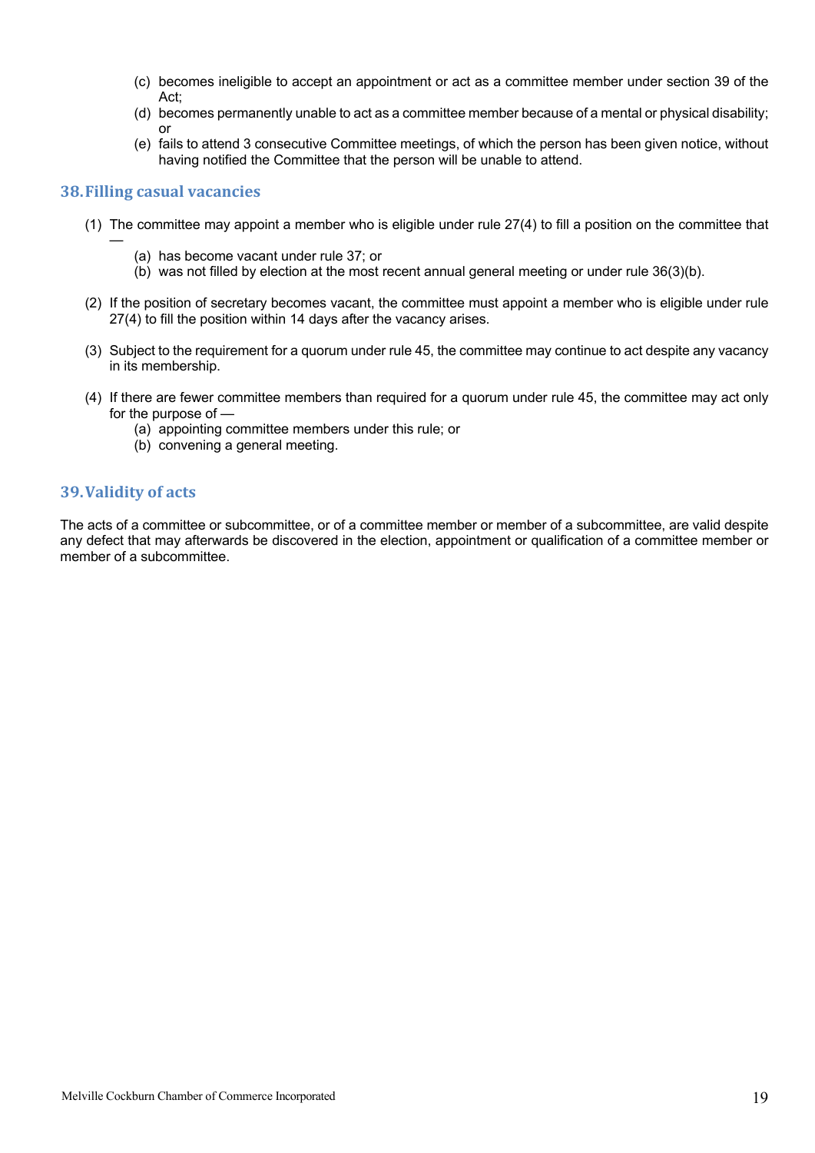- (c) becomes ineligible to accept an appointment or act as a committee member under section 39 of the Act;
- (d) becomes permanently unable to act as a committee member because of a mental or physical disability; or
- (e) fails to attend 3 consecutive Committee meetings, of which the person has been given notice, without having notified the Committee that the person will be unable to attend.

#### **38. Filling casual vacancies**

—

- (1) The committee may appoint a member who is eligible under rule 27(4) to fill a position on the committee that
	- (a) has become vacant under rule 37; or
	- (b) was not filled by election at the most recent annual general meeting or under rule 36(3)(b).
- (2) If the position of secretary becomes vacant, the committee must appoint a member who is eligible under rule 27(4) to fill the position within 14 days after the vacancy arises.
- (3) Subject to the requirement for a quorum under rule 45, the committee may continue to act despite any vacancy in its membership.
- (4) If there are fewer committee members than required for a quorum under rule 45, the committee may act only for the purpose of —
	- (a) appointing committee members under this rule; or
	- (b) convening a general meeting.

#### **39.Validity of acts**

The acts of a committee or subcommittee, or of a committee member or member of a subcommittee, are valid despite any defect that may afterwards be discovered in the election, appointment or qualification of a committee member or member of a subcommittee.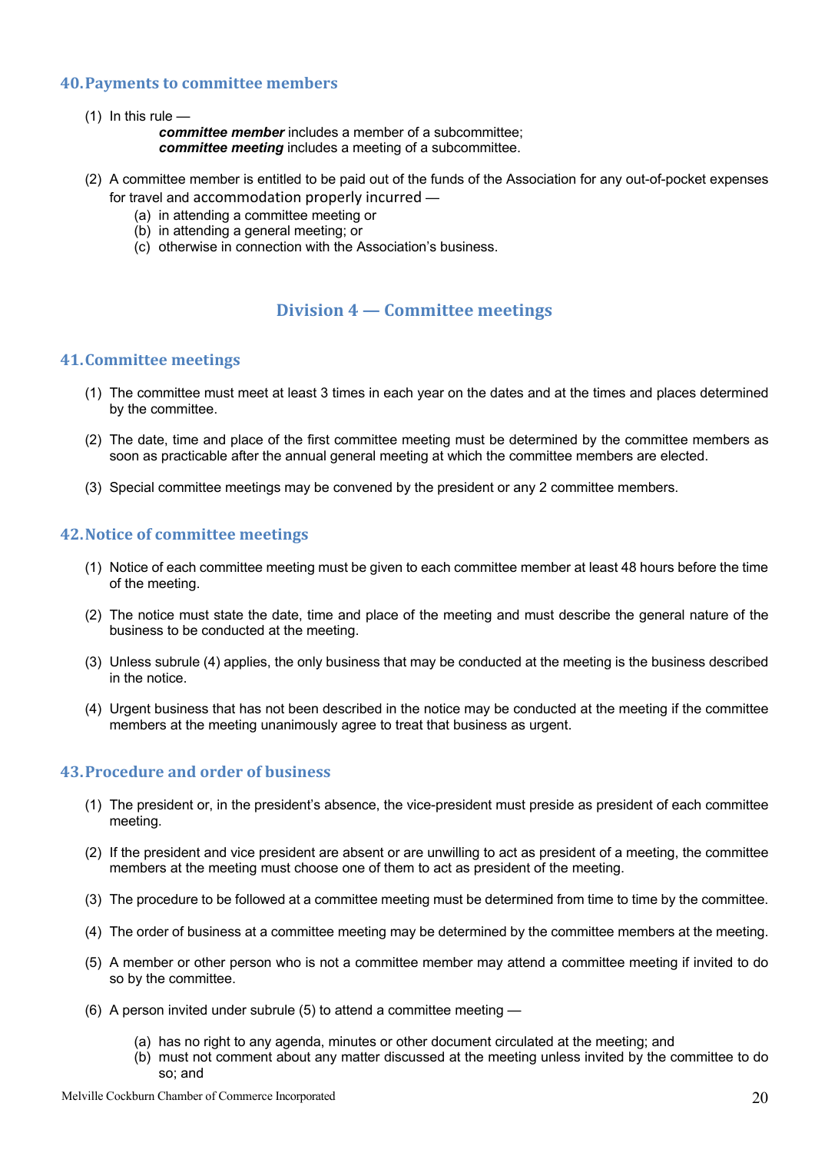#### **40. Payments to committee members**

 $(1)$  In this rule –

*committee member* includes a member of a subcommittee; *committee meeting* includes a meeting of a subcommittee.

- (2) A committee member is entitled to be paid out of the funds of the Association for any out-of-pocket expenses for travel and accommodation properly incurred —
	- (a) in attending a committee meeting or
	- (b) in attending a general meeting; or
	- (c) otherwise in connection with the Association's business.

#### **Division 4 — Committee meetings**

#### **41.Committee meetings**

- (1) The committee must meet at least 3 times in each year on the dates and at the times and places determined by the committee.
- (2) The date, time and place of the first committee meeting must be determined by the committee members as soon as practicable after the annual general meeting at which the committee members are elected.
- (3) Special committee meetings may be convened by the president or any 2 committee members.

#### **42. Notice of committee meetings**

- (1) Notice of each committee meeting must be given to each committee member at least 48 hours before the time of the meeting.
- (2) The notice must state the date, time and place of the meeting and must describe the general nature of the business to be conducted at the meeting.
- (3) Unless subrule (4) applies, the only business that may be conducted at the meeting is the business described in the notice.
- (4) Urgent business that has not been described in the notice may be conducted at the meeting if the committee members at the meeting unanimously agree to treat that business as urgent.

#### **43. Procedure and order of business**

- (1) The president or, in the president's absence, the vice-president must preside as president of each committee meeting.
- (2) If the president and vice president are absent or are unwilling to act as president of a meeting, the committee members at the meeting must choose one of them to act as president of the meeting.
- (3) The procedure to be followed at a committee meeting must be determined from time to time by the committee.
- (4) The order of business at a committee meeting may be determined by the committee members at the meeting.
- (5) A member or other person who is not a committee member may attend a committee meeting if invited to do so by the committee.
- (6) A person invited under subrule (5) to attend a committee meeting
	- (a) has no right to any agenda, minutes or other document circulated at the meeting; and
	- (b) must not comment about any matter discussed at the meeting unless invited by the committee to do so; and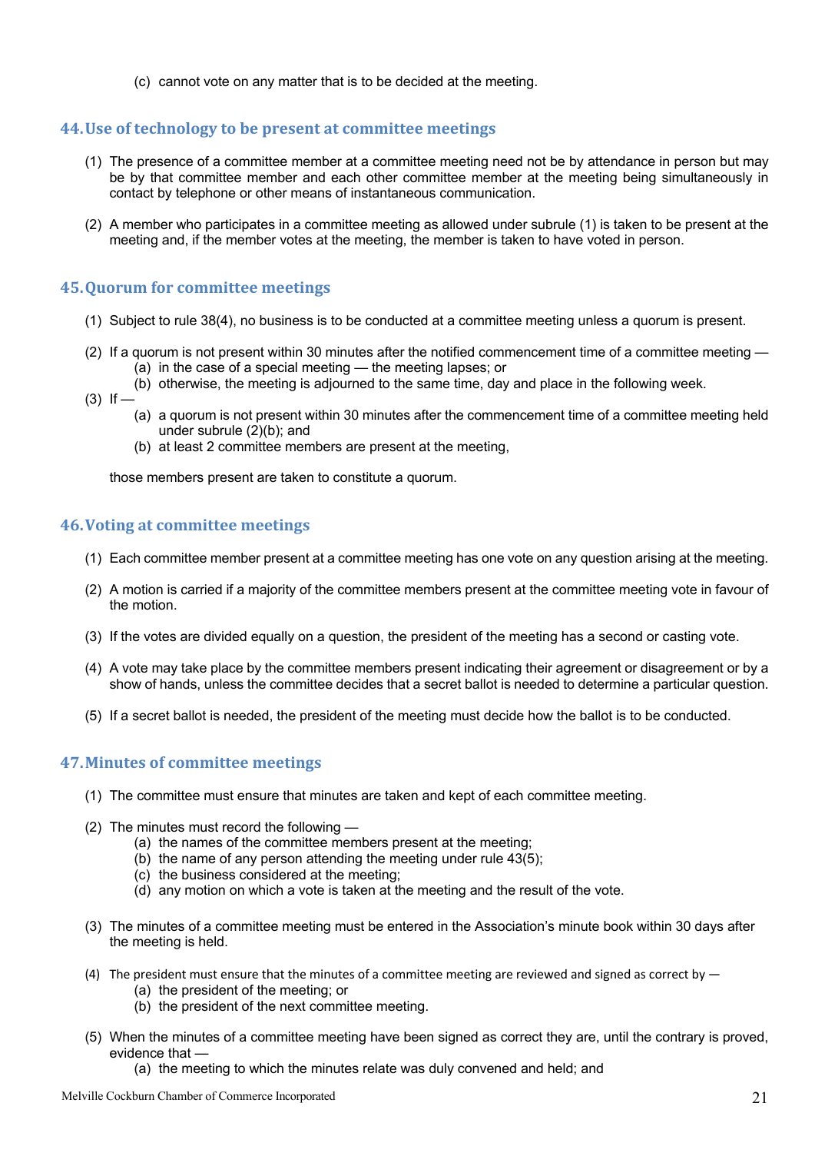(c) cannot vote on any matter that is to be decided at the meeting.

#### **44. Use of technology to be present at committee meetings**

- (1) The presence of a committee member at a committee meeting need not be by attendance in person but may be by that committee member and each other committee member at the meeting being simultaneously in contact by telephone or other means of instantaneous communication.
- (2) A member who participates in a committee meeting as allowed under subrule (1) is taken to be present at the meeting and, if the member votes at the meeting, the member is taken to have voted in person.

#### **45. Quorum for committee meetings**

- (1) Subject to rule 38(4), no business is to be conducted at a committee meeting unless a quorum is present.
- (2) If a quorum is not present within 30 minutes after the notified commencement time of a committee meeting (a) in the case of a special meeting — the meeting lapses; or
	- (b) otherwise, the meeting is adjourned to the same time, day and place in the following week.
- $(3)$  If  $-$ 
	- (a) a quorum is not present within 30 minutes after the commencement time of a committee meeting held under subrule (2)(b); and
	- (b) at least 2 committee members are present at the meeting,

those members present are taken to constitute a quorum.

#### **46. Voting at committee meetings**

- (1) Each committee member present at a committee meeting has one vote on any question arising at the meeting.
- (2) A motion is carried if a majority of the committee members present at the committee meeting vote in favour of the motion.
- (3) If the votes are divided equally on a question, the president of the meeting has a second or casting vote.
- (4) A vote may take place by the committee members present indicating their agreement or disagreement or by a show of hands, unless the committee decides that a secret ballot is needed to determine a particular question.
- (5) If a secret ballot is needed, the president of the meeting must decide how the ballot is to be conducted.

#### **47.Minutes of committee meetings**

- (1) The committee must ensure that minutes are taken and kept of each committee meeting.
- (2) The minutes must record the following
	- (a) the names of the committee members present at the meeting;
	- (b) the name of any person attending the meeting under rule 43(5);
	- (c) the business considered at the meeting;
	- (d) any motion on which a vote is taken at the meeting and the result of the vote.
- (3) The minutes of a committee meeting must be entered in the Association's minute book within 30 days after the meeting is held.
- (4) The president must ensure that the minutes of a committee meeting are reviewed and signed as correct by  $-$ 
	- (a) the president of the meeting; or
	- (b) the president of the next committee meeting.
- (5) When the minutes of a committee meeting have been signed as correct they are, until the contrary is proved, evidence that —
	- (a) the meeting to which the minutes relate was duly convened and held; and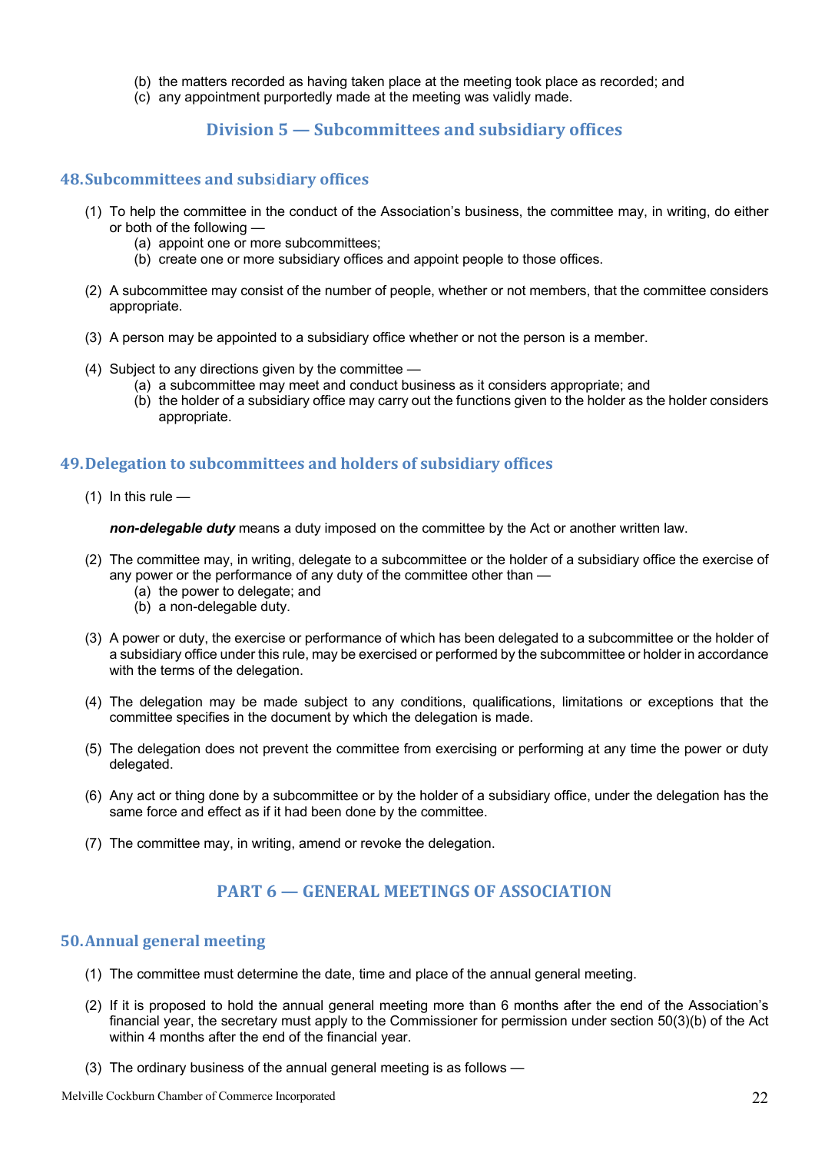- (b) the matters recorded as having taken place at the meeting took place as recorded; and
- (c) any appointment purportedly made at the meeting was validly made.

#### **Division 5 — Subcommittees and subsidiary offices**

#### **48.Subcommittees and subsidiary offices**

- (1) To help the committee in the conduct of the Association's business, the committee may, in writing, do either or both of the following
	- (a) appoint one or more subcommittees;
	- (b) create one or more subsidiary offices and appoint people to those offices.
- (2) A subcommittee may consist of the number of people, whether or not members, that the committee considers appropriate.
- (3) A person may be appointed to a subsidiary office whether or not the person is a member.
- (4) Subject to any directions given by the committee
	- (a) a subcommittee may meet and conduct business as it considers appropriate; and
	- (b) the holder of a subsidiary office may carry out the functions given to the holder as the holder considers appropriate.

#### **49. Delegation to subcommittees and holders of subsidiary offices**

 $(1)$  In this rule —

*non-delegable duty* means a duty imposed on the committee by the Act or another written law.

- (2) The committee may, in writing, delegate to a subcommittee or the holder of a subsidiary office the exercise of any power or the performance of any duty of the committee other than —
	- (a) the power to delegate; and
	- (b) a non-delegable duty.
- (3) A power or duty, the exercise or performance of which has been delegated to a subcommittee or the holder of a subsidiary office under this rule, may be exercised or performed by the subcommittee or holder in accordance with the terms of the delegation.
- (4) The delegation may be made subject to any conditions, qualifications, limitations or exceptions that the committee specifies in the document by which the delegation is made.
- (5) The delegation does not prevent the committee from exercising or performing at any time the power or duty delegated.
- (6) Any act or thing done by a subcommittee or by the holder of a subsidiary office, under the delegation has the same force and effect as if it had been done by the committee.
- (7) The committee may, in writing, amend or revoke the delegation.

#### **PART 6 – GENERAL MEETINGS OF ASSOCIATION**

#### **50.Annual general meeting**

- (1) The committee must determine the date, time and place of the annual general meeting.
- (2) If it is proposed to hold the annual general meeting more than 6 months after the end of the Association's financial year, the secretary must apply to the Commissioner for permission under section 50(3)(b) of the Act within 4 months after the end of the financial year.
- (3) The ordinary business of the annual general meeting is as follows —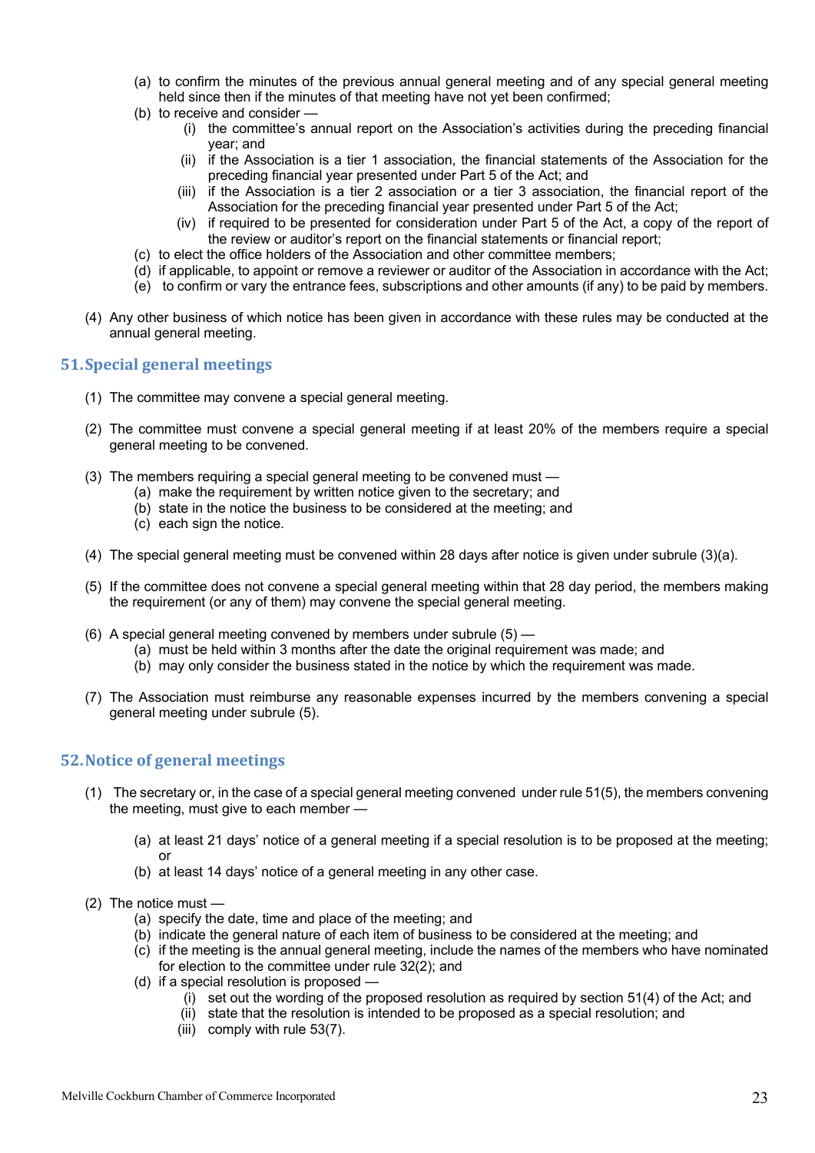- (a) to confirm the minutes of the previous annual general meeting and of any special general meeting held since then if the minutes of that meeting have not yet been confirmed;
- (b) to receive and consider
	- (i) the committee's annual report on the Association's activities during the preceding financial year; and
	- (ii) if the Association is a tier 1 association, the financial statements of the Association for the preceding financial year presented under Part 5 of the Act; and
	- (iii) if the Association is a tier 2 association or a tier 3 association, the financial report of the Association for the preceding financial year presented under Part 5 of the Act;
	- (iv) if required to be presented for consideration under Part 5 of the Act, a copy of the report of the review or auditor's report on the financial statements or financial report;
- (c) to elect the office holders of the Association and other committee members;
- (d) if applicable, to appoint or remove a reviewer or auditor of the Association in accordance with the Act;
- (e) to confirm or vary the entrance fees, subscriptions and other amounts (if any) to be paid by members.
- (4) Any other business of which notice has been given in accordance with these rules may be conducted at the annual general meeting.

#### **51. Special general meetings**

- (1) The committee may convene a special general meeting.
- (2) The committee must convene a special general meeting if at least 20% of the members require a special general meeting to be convened.
- (3) The members requiring a special general meeting to be convened must -
	- (a) make the requirement by written notice given to the secretary; and
	- (b) state in the notice the business to be considered at the meeting; and
	- (c) each sign the notice.
- (4) The special general meeting must be convened within 28 days after notice is given under subrule (3)(a).
- (5) If the committee does not convene a special general meeting within that 28 day period, the members making the requirement (or any of them) may convene the special general meeting.
- (6) A special general meeting convened by members under subrule  $(5)$ 
	- (a) must be held within 3 months after the date the original requirement was made; and
	- (b) may only consider the business stated in the notice by which the requirement was made.
- (7) The Association must reimburse any reasonable expenses incurred by the members convening a special general meeting under subrule (5).

#### **52. Notice of general meetings**

- (1) The secretary or, in the case of a special general meeting convened under rule 51(5), the members convening the meeting, must give to each member —
	- (a) at least 21 days' notice of a general meeting if a special resolution is to be proposed at the meeting; or
	- (b) at least 14 days' notice of a general meeting in any other case.
- (2) The notice must
	- (a) specify the date, time and place of the meeting; and
	- (b) indicate the general nature of each item of business to be considered at the meeting; and
	- (c) if the meeting is the annual general meeting, include the names of the members who have nominated for election to the committee under rule 32(2); and
	- (d) if a special resolution is proposed
		- (i) set out the wording of the proposed resolution as required by section 51(4) of the Act; and
		- (ii) state that the resolution is intended to be proposed as a special resolution; and
		- (iii) comply with rule 53(7).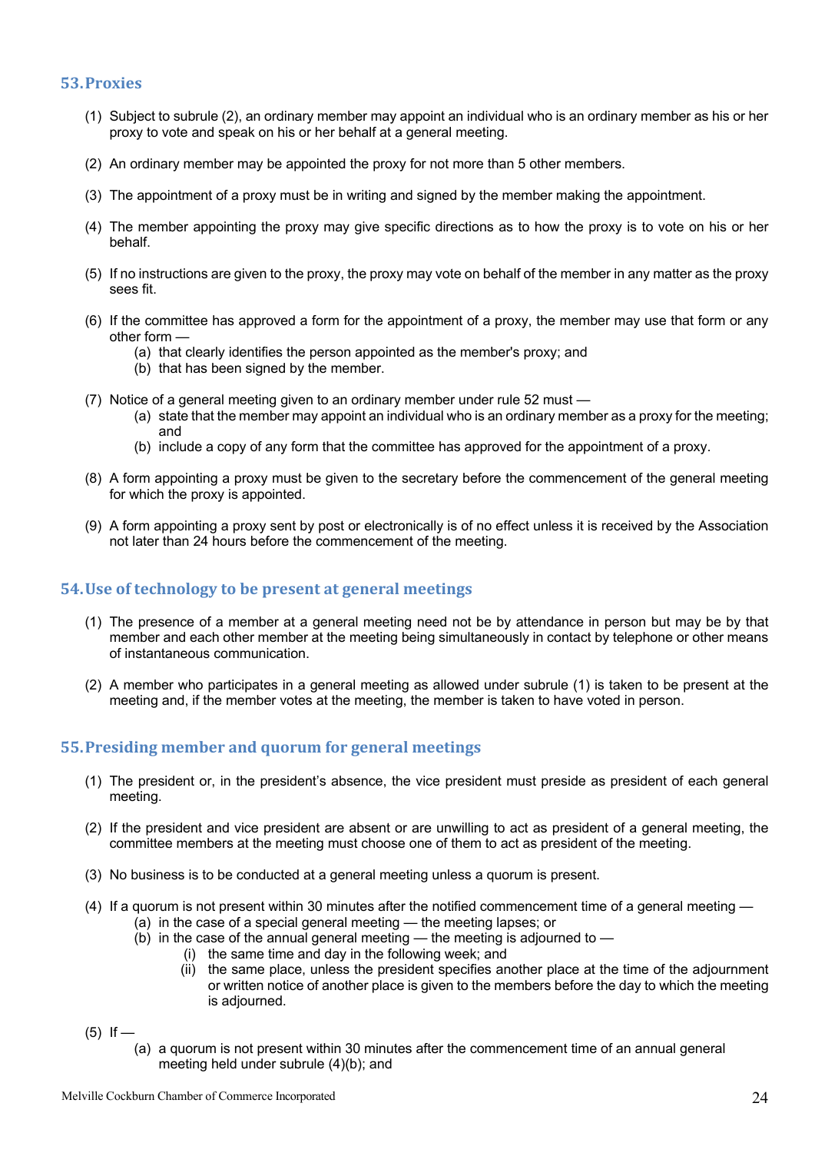#### **53.Proxies**

- (1) Subject to subrule (2), an ordinary member may appoint an individual who is an ordinary member as his or her proxy to vote and speak on his or her behalf at a general meeting.
- (2) An ordinary member may be appointed the proxy for not more than 5 other members.
- (3) The appointment of a proxy must be in writing and signed by the member making the appointment.
- (4) The member appointing the proxy may give specific directions as to how the proxy is to vote on his or her behalf.
- (5) If no instructions are given to the proxy, the proxy may vote on behalf of the member in any matter as the proxy sees fit.
- (6) If the committee has approved a form for the appointment of a proxy, the member may use that form or any other form —
	- (a) that clearly identifies the person appointed as the member's proxy; and
	- (b) that has been signed by the member.
- (7) Notice of a general meeting given to an ordinary member under rule 52 must
	- (a) state that the member may appoint an individual who is an ordinary member as a proxy for the meeting; and
	- (b) include a copy of any form that the committee has approved for the appointment of a proxy.
- (8) A form appointing a proxy must be given to the secretary before the commencement of the general meeting for which the proxy is appointed.
- (9) A form appointing a proxy sent by post or electronically is of no effect unless it is received by the Association not later than 24 hours before the commencement of the meeting.

#### **54. Use of technology to be present at general meetings**

- (1) The presence of a member at a general meeting need not be by attendance in person but may be by that member and each other member at the meeting being simultaneously in contact by telephone or other means of instantaneous communication.
- (2) A member who participates in a general meeting as allowed under subrule (1) is taken to be present at the meeting and, if the member votes at the meeting, the member is taken to have voted in person.

#### **55. Presiding member and quorum for general meetings**

- (1) The president or, in the president's absence, the vice president must preside as president of each general meeting.
- (2) If the president and vice president are absent or are unwilling to act as president of a general meeting, the committee members at the meeting must choose one of them to act as president of the meeting.
- (3) No business is to be conducted at a general meeting unless a quorum is present.
- (4) If a quorum is not present within 30 minutes after the notified commencement time of a general meeting
	- (a) in the case of a special general meeting the meeting lapses; or
	- $(b)$  in the case of the annual general meeting the meeting is adjourned to
		- (i) the same time and day in the following week; and
		- (ii) the same place, unless the president specifies another place at the time of the adjournment or written notice of another place is given to the members before the day to which the meeting is adjourned.
- $(5)$  If
	- (a) a quorum is not present within 30 minutes after the commencement time of an annual general meeting held under subrule (4)(b); and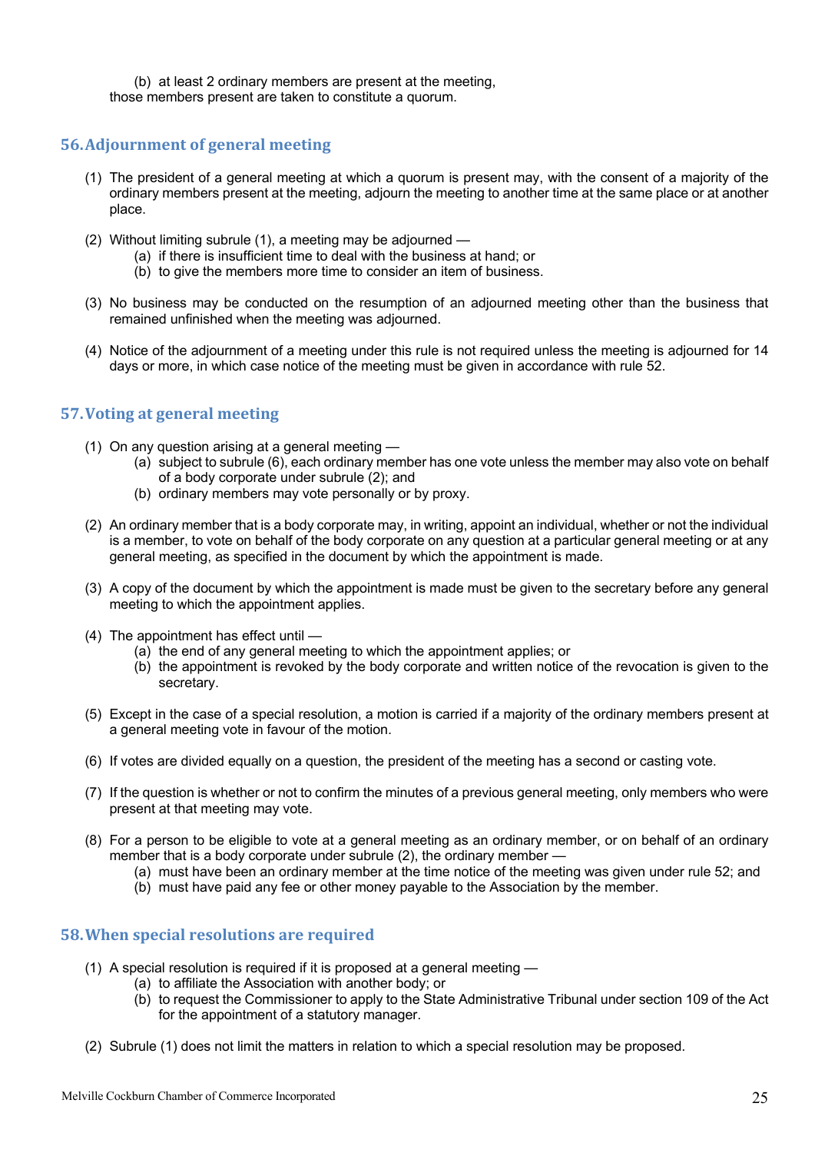(b) at least 2 ordinary members are present at the meeting, those members present are taken to constitute a quorum.

#### **56.Adjournment of general meeting**

- (1) The president of a general meeting at which a quorum is present may, with the consent of a majority of the ordinary members present at the meeting, adjourn the meeting to another time at the same place or at another place.
- (2) Without limiting subrule (1), a meeting may be adjourned
	- (a) if there is insufficient time to deal with the business at hand; or
	- (b) to give the members more time to consider an item of business.
- (3) No business may be conducted on the resumption of an adjourned meeting other than the business that remained unfinished when the meeting was adjourned.
- (4) Notice of the adjournment of a meeting under this rule is not required unless the meeting is adjourned for 14 days or more, in which case notice of the meeting must be given in accordance with rule 52.

#### **57. Voting at general meeting**

- (1) On any question arising at a general meeting
	- (a) subject to subrule (6), each ordinary member has one vote unless the member may also vote on behalf of a body corporate under subrule (2); and
	- (b) ordinary members may vote personally or by proxy.
- (2) An ordinary member that is a body corporate may, in writing, appoint an individual, whether or not the individual is a member, to vote on behalf of the body corporate on any question at a particular general meeting or at any general meeting, as specified in the document by which the appointment is made.
- (3) A copy of the document by which the appointment is made must be given to the secretary before any general meeting to which the appointment applies.
- (4) The appointment has effect until
	- (a) the end of any general meeting to which the appointment applies; or
	- (b) the appointment is revoked by the body corporate and written notice of the revocation is given to the secretary.
- (5) Except in the case of a special resolution, a motion is carried if a majority of the ordinary members present at a general meeting vote in favour of the motion.
- (6) If votes are divided equally on a question, the president of the meeting has a second or casting vote.
- (7) If the question is whether or not to confirm the minutes of a previous general meeting, only members who were present at that meeting may vote.
- (8) For a person to be eligible to vote at a general meeting as an ordinary member, or on behalf of an ordinary member that is a body corporate under subrule (2), the ordinary member —
	- (a) must have been an ordinary member at the time notice of the meeting was given under rule 52; and
	- (b) must have paid any fee or other money payable to the Association by the member.

#### **58. When special resolutions are required**

- (1) A special resolution is required if it is proposed at a general meeting
	- (a) to affiliate the Association with another body; or
	- (b) to request the Commissioner to apply to the State Administrative Tribunal under section 109 of the Act for the appointment of a statutory manager.
- (2) Subrule (1) does not limit the matters in relation to which a special resolution may be proposed.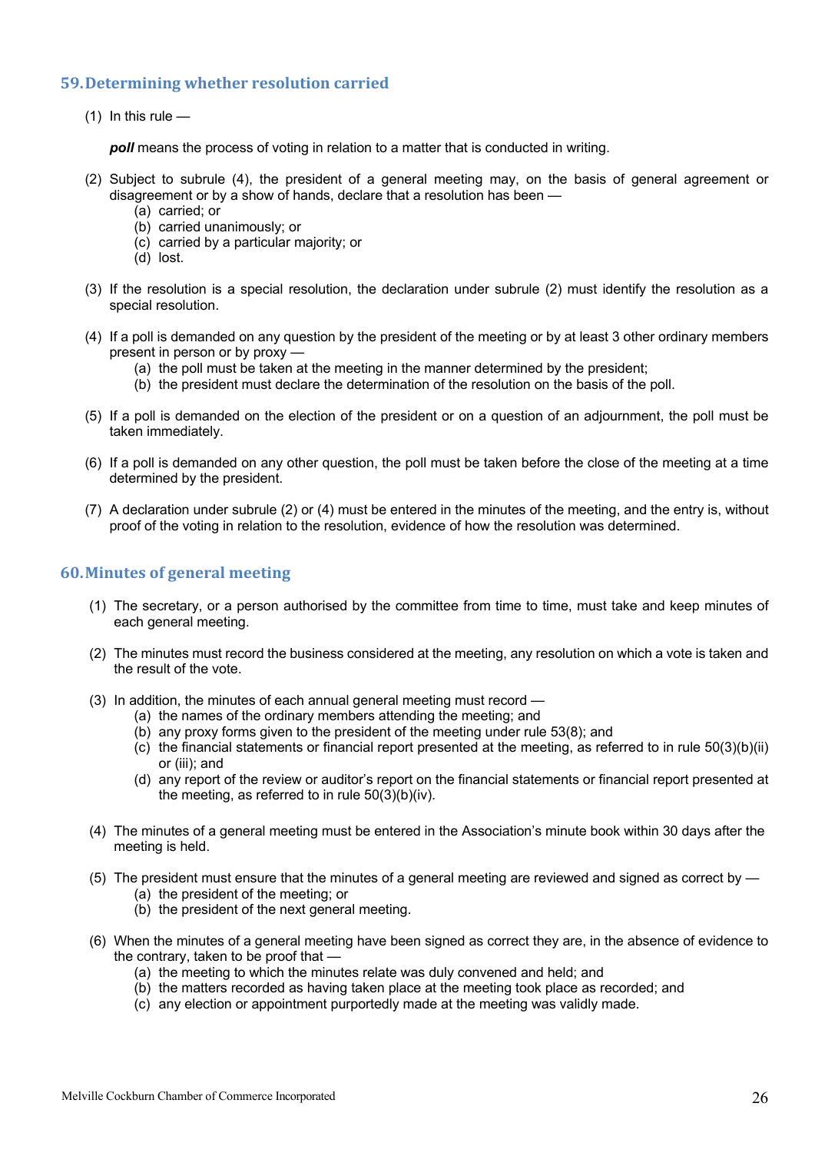#### **59. Determining whether resolution carried**

 $(1)$  In this rule —

*poll* means the process of voting in relation to a matter that is conducted in writing.

- (2) Subject to subrule (4), the president of a general meeting may, on the basis of general agreement or disagreement or by a show of hands, declare that a resolution has been —
	- (a) carried; or
	- (b) carried unanimously; or
	- (c) carried by a particular majority; or
	- (d) lost.
- (3) If the resolution is a special resolution, the declaration under subrule (2) must identify the resolution as a special resolution.
- (4) If a poll is demanded on any question by the president of the meeting or by at least 3 other ordinary members present in person or by proxy —
	- (a) the poll must be taken at the meeting in the manner determined by the president;
	- (b) the president must declare the determination of the resolution on the basis of the poll.
- (5) If a poll is demanded on the election of the president or on a question of an adjournment, the poll must be taken immediately.
- (6) If a poll is demanded on any other question, the poll must be taken before the close of the meeting at a time determined by the president.
- (7) A declaration under subrule (2) or (4) must be entered in the minutes of the meeting, and the entry is, without proof of the voting in relation to the resolution, evidence of how the resolution was determined.

#### **60.Minutes of general meeting**

- (1) The secretary, or a person authorised by the committee from time to time, must take and keep minutes of each general meeting.
- (2) The minutes must record the business considered at the meeting, any resolution on which a vote is taken and the result of the vote.
- (3) In addition, the minutes of each annual general meeting must record
	- (a) the names of the ordinary members attending the meeting; and
	- (b) any proxy forms given to the president of the meeting under rule 53(8); and
	- (c) the financial statements or financial report presented at the meeting, as referred to in rule 50(3)(b)(ii) or (iii); and
	- (d) any report of the review or auditor's report on the financial statements or financial report presented at the meeting, as referred to in rule 50(3)(b)(iv).
- (4) The minutes of a general meeting must be entered in the Association's minute book within 30 days after the meeting is held.
- (5) The president must ensure that the minutes of a general meeting are reviewed and signed as correct by
	- (a) the president of the meeting; or
	- (b) the president of the next general meeting.
- (6) When the minutes of a general meeting have been signed as correct they are, in the absence of evidence to the contrary, taken to be proof that —
	- (a) the meeting to which the minutes relate was duly convened and held; and
	- (b) the matters recorded as having taken place at the meeting took place as recorded; and
	- (c) any election or appointment purportedly made at the meeting was validly made.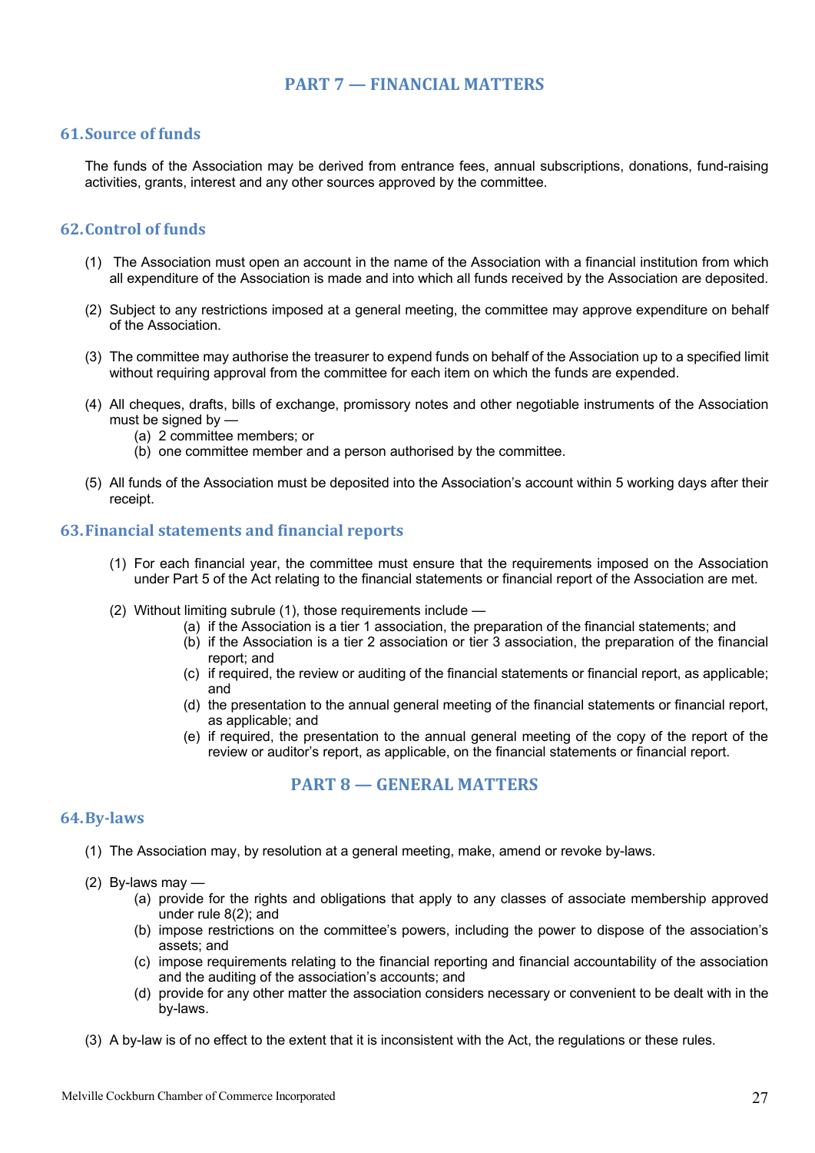#### **PART 7 — FINANCIAL MATTERS**

#### **61.Source of funds**

The funds of the Association may be derived from entrance fees, annual subscriptions, donations, fund-raising activities, grants, interest and any other sources approved by the committee.

#### **62.Control of funds**

- (1) The Association must open an account in the name of the Association with a financial institution from which all expenditure of the Association is made and into which all funds received by the Association are deposited.
- (2) Subject to any restrictions imposed at a general meeting, the committee may approve expenditure on behalf of the Association.
- (3) The committee may authorise the treasurer to expend funds on behalf of the Association up to a specified limit without requiring approval from the committee for each item on which the funds are expended.
- (4) All cheques, drafts, bills of exchange, promissory notes and other negotiable instruments of the Association must be signed by —
	- (a) 2 committee members; or
	- (b) one committee member and a person authorised by the committee.
- (5) All funds of the Association must be deposited into the Association's account within 5 working days after their receipt.

#### **63.Financial statements and financial reports**

- (1) For each financial year, the committee must ensure that the requirements imposed on the Association under Part 5 of the Act relating to the financial statements or financial report of the Association are met.
- (2) Without limiting subrule (1), those requirements include
	- (a) if the Association is a tier 1 association, the preparation of the financial statements; and
	- (b) if the Association is a tier 2 association or tier 3 association, the preparation of the financial report; and
	- (c) if required, the review or auditing of the financial statements or financial report, as applicable; and
	- (d) the presentation to the annual general meeting of the financial statements or financial report, as applicable; and
	- (e) if required, the presentation to the annual general meeting of the copy of the report of the review or auditor's report, as applicable, on the financial statements or financial report.

#### **PART 8 — GENERAL MATTERS**

#### **64.By-laws**

- (1) The Association may, by resolution at a general meeting, make, amend or revoke by-laws.
- (2) By-laws may
	- (a) provide for the rights and obligations that apply to any classes of associate membership approved under rule 8(2); and
	- (b) impose restrictions on the committee's powers, including the power to dispose of the association's assets; and
	- (c) impose requirements relating to the financial reporting and financial accountability of the association and the auditing of the association's accounts; and
	- (d) provide for any other matter the association considers necessary or convenient to be dealt with in the by-laws.
- (3) A by-law is of no effect to the extent that it is inconsistent with the Act, the regulations or these rules.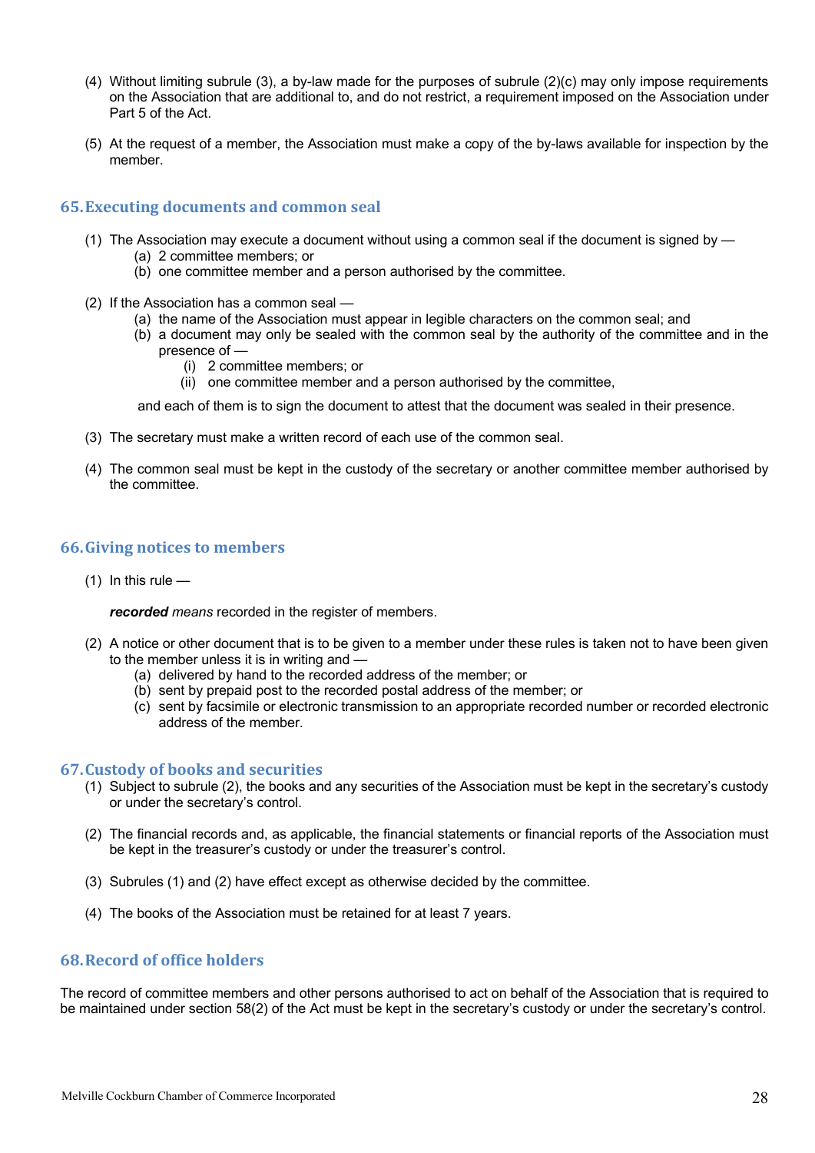- (4) Without limiting subrule (3), a by-law made for the purposes of subrule (2)(c) may only impose requirements on the Association that are additional to, and do not restrict, a requirement imposed on the Association under Part 5 of the Act.
- (5) At the request of a member, the Association must make a copy of the by-laws available for inspection by the member.

#### **65.Executing documents and common seal**

- (1) The Association may execute a document without using a common seal if the document is signed by (a) 2 committee members; or
	- (b) one committee member and a person authorised by the committee.
- (2) If the Association has a common seal
	- (a) the name of the Association must appear in legible characters on the common seal; and
	- (b) a document may only be sealed with the common seal by the authority of the committee and in the presence of —
		- (i) 2 committee members; or
		- (ii) one committee member and a person authorised by the committee,

and each of them is to sign the document to attest that the document was sealed in their presence.

- (3) The secretary must make a written record of each use of the common seal.
- (4) The common seal must be kept in the custody of the secretary or another committee member authorised by the committee.

#### **66.Giving notices to members**

 $(1)$  In this rule —

*recorded means* recorded in the register of members.

- (2) A notice or other document that is to be given to a member under these rules is taken not to have been given to the member unless it is in writing and -
	- (a) delivered by hand to the recorded address of the member; or
	- (b) sent by prepaid post to the recorded postal address of the member; or
	- (c) sent by facsimile or electronic transmission to an appropriate recorded number or recorded electronic address of the member.

#### **67.Custody of books and securities**

- (1) Subject to subrule (2), the books and any securities of the Association must be kept in the secretary's custody or under the secretary's control.
- (2) The financial records and, as applicable, the financial statements or financial reports of the Association must be kept in the treasurer's custody or under the treasurer's control.
- (3) Subrules (1) and (2) have effect except as otherwise decided by the committee.
- (4) The books of the Association must be retained for at least 7 years.

#### **68.Record of office holders**

The record of committee members and other persons authorised to act on behalf of the Association that is required to be maintained under section 58(2) of the Act must be kept in the secretary's custody or under the secretary's control.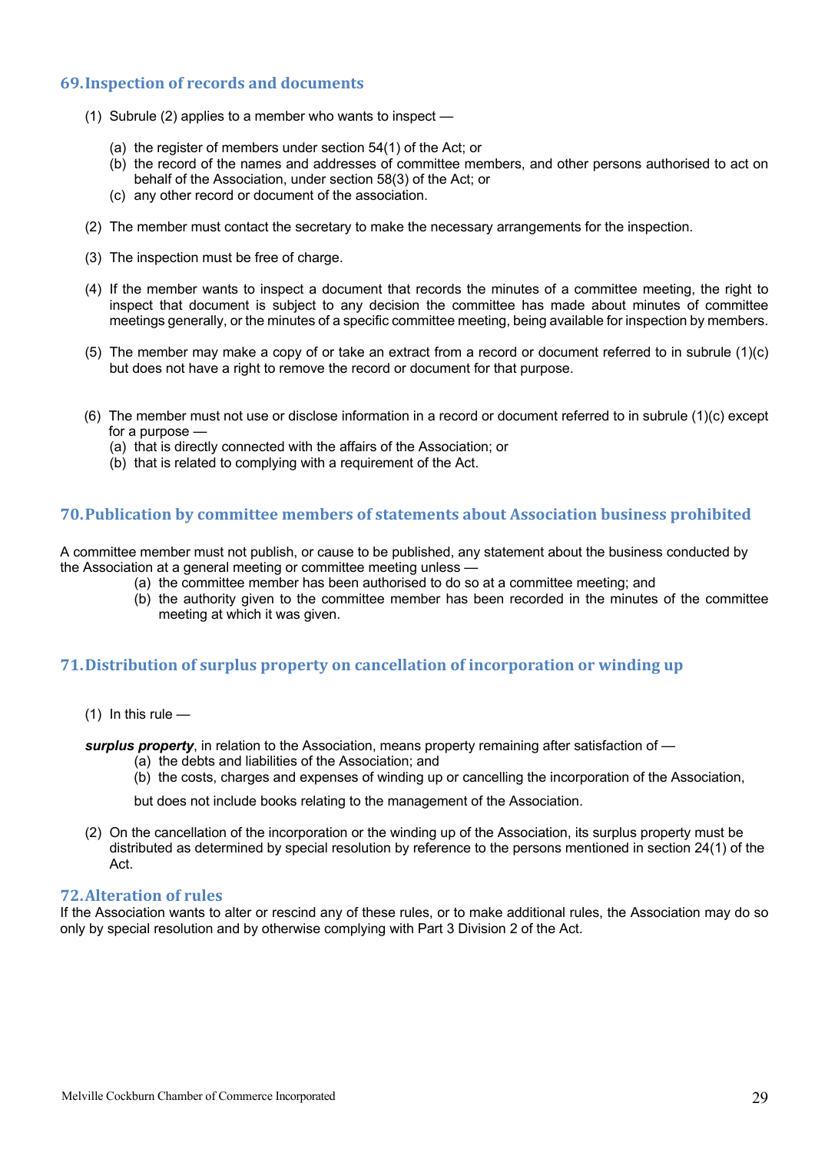#### **69. Inspection of records and documents**

- (1) Subrule (2) applies to a member who wants to inspect
	- (a) the register of members under section 54(1) of the Act; or
	- (b) the record of the names and addresses of committee members, and other persons authorised to act on behalf of the Association, under section 58(3) of the Act; or
	- (c) any other record or document of the association.
- (2) The member must contact the secretary to make the necessary arrangements for the inspection.
- (3) The inspection must be free of charge.
- (4) If the member wants to inspect a document that records the minutes of a committee meeting, the right to inspect that document is subject to any decision the committee has made about minutes of committee meetings generally, or the minutes of a specific committee meeting, being available for inspection by members.
- (5) The member may make a copy of or take an extract from a record or document referred to in subrule (1)(c) but does not have a right to remove the record or document for that purpose.
- (6) The member must not use or disclose information in a record or document referred to in subrule (1)(c) except for a purpose -
	- (a) that is directly connected with the affairs of the Association; or
	- (b) that is related to complying with a requirement of the Act.

#### **70. Publication by committee members of statements about Association business prohibited**

A committee member must not publish, or cause to be published, any statement about the business conducted by the Association at a general meeting or committee meeting unless —

- (a) the committee member has been authorised to do so at a committee meeting; and
- (b) the authority given to the committee member has been recorded in the minutes of the committee meeting at which it was given.

#### **71. Distribution of surplus property on cancellation of incorporation or winding up**

- $(1)$  In this rule —
- *surplus property*, in relation to the Association, means property remaining after satisfaction of
	- (a) the debts and liabilities of the Association; and
	- (b) the costs, charges and expenses of winding up or cancelling the incorporation of the Association,

but does not include books relating to the management of the Association.

(2) On the cancellation of the incorporation or the winding up of the Association, its surplus property must be distributed as determined by special resolution by reference to the persons mentioned in section 24(1) of the Act.

#### **72. Alteration of rules**

If the Association wants to alter or rescind any of these rules, or to make additional rules, the Association may do so only by special resolution and by otherwise complying with Part 3 Division 2 of the Act.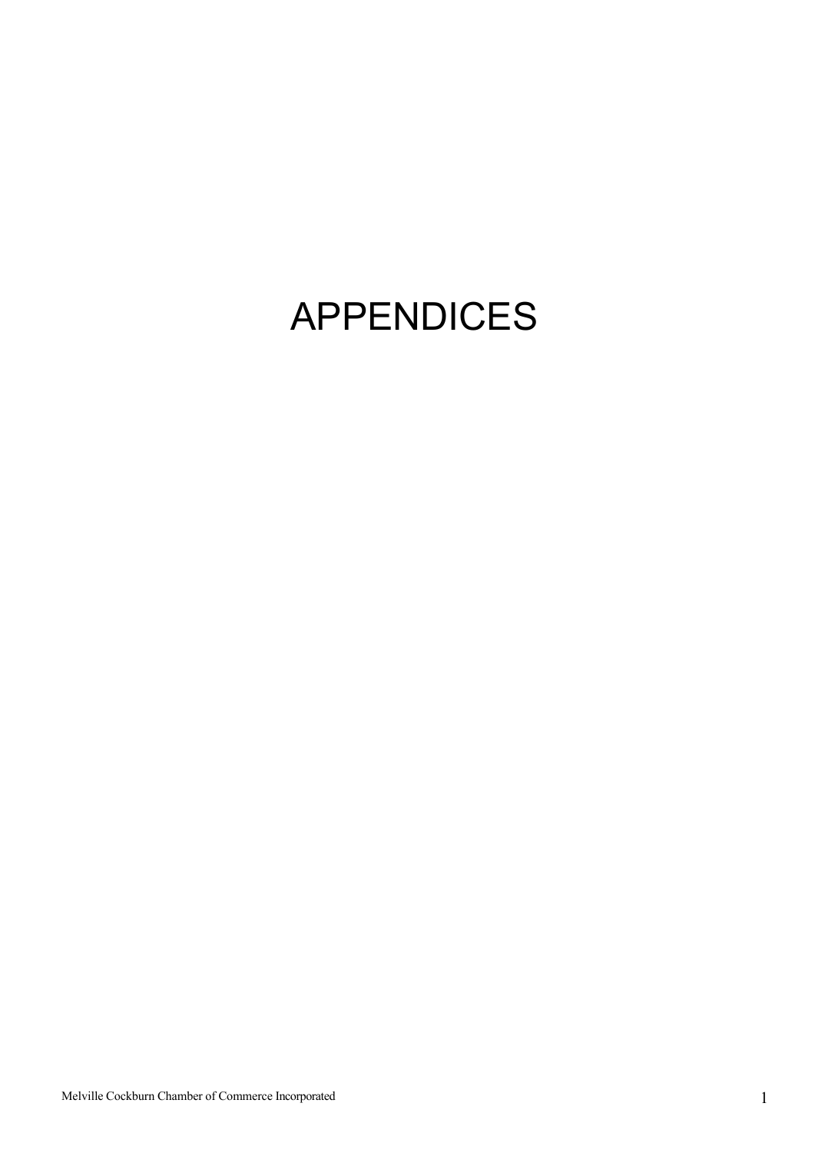## APPENDICES

Melville Cockburn Chamber of Commerce Incorporated 1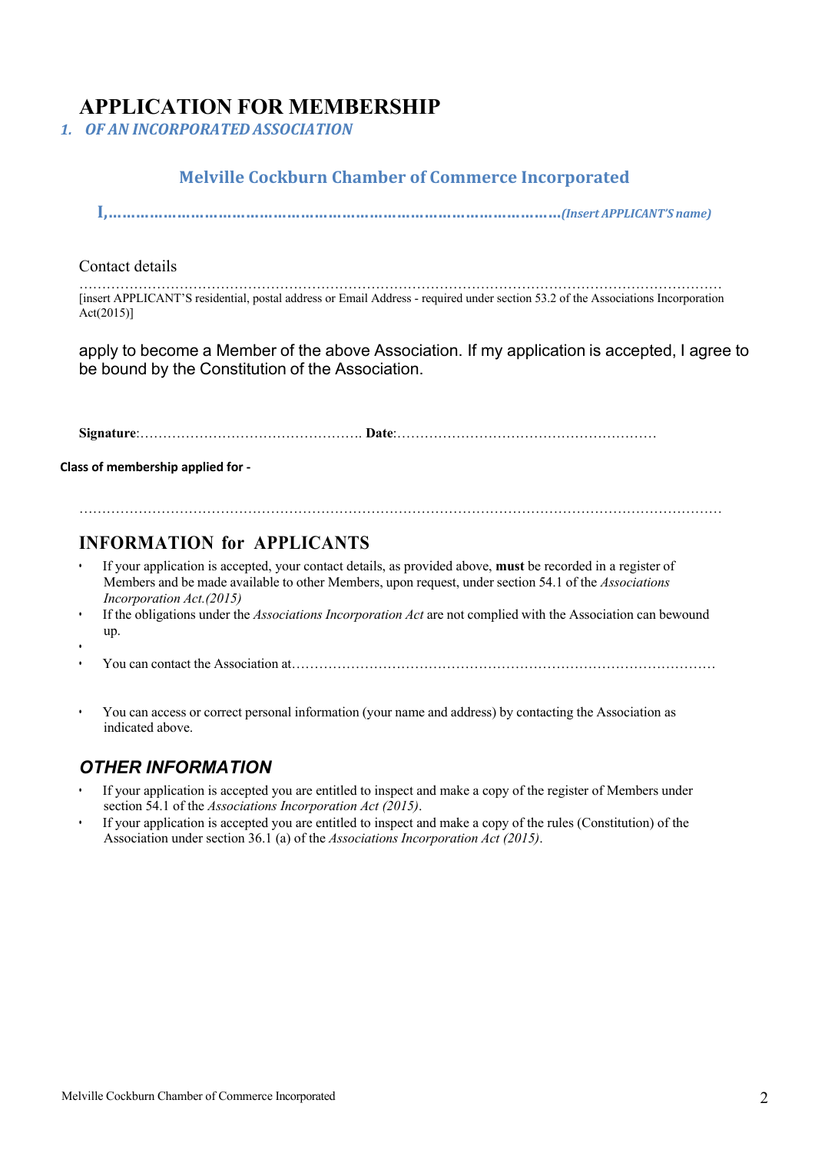### **APPLICATION FOR MEMBERSHIP**

*1. OF AN INCORPORATEDASSOCIATION*

#### **Melville Cockburn Chamber of Commerce Incorporated**

**I,………………………………………………………………………………………***(Insert APPLICANT'S name)*

#### Contact details

…………………………………………………………………………………………………………………………… [insert APPLICANT'S residential, postal address or Email Address - required under section 53.2 of the Associations Incorporation Act(2015)]

apply to become a Member of the above Association. If my application is accepted, I agree to be bound by the Constitution of the Association.

**Signature**:…………………………………………. **Date**:…………………………………………………

#### **Class of membership applied for -**

#### **INFORMATION for APPLICANTS**

- If your application is accepted, your contact details, as provided above, **must** be recorded in a register of Members and be made available to other Members, upon request, under section 54.1 of the *Associations Incorporation Act.(2015)*
- If the obligations under the *Associations Incorporation Act* are not complied with the Association can bewound up.

……………………………………………………………………………………………………………………………

- • You can contact the Association at…………………………………………………………………………………
	- You can access or correct personal information (your name and address) by contacting the Association as indicated above.

#### *OTHER INFORMATION*

- If your application is accepted you are entitled to inspect and make a copy of the register of Members under section 54.1 of the *Associations Incorporation Act (2015)*.
- If your application is accepted you are entitled to inspect and make a copy of the rules (Constitution) of the Association under section 36.1 (a) of the *Associations Incorporation Act (2015)*.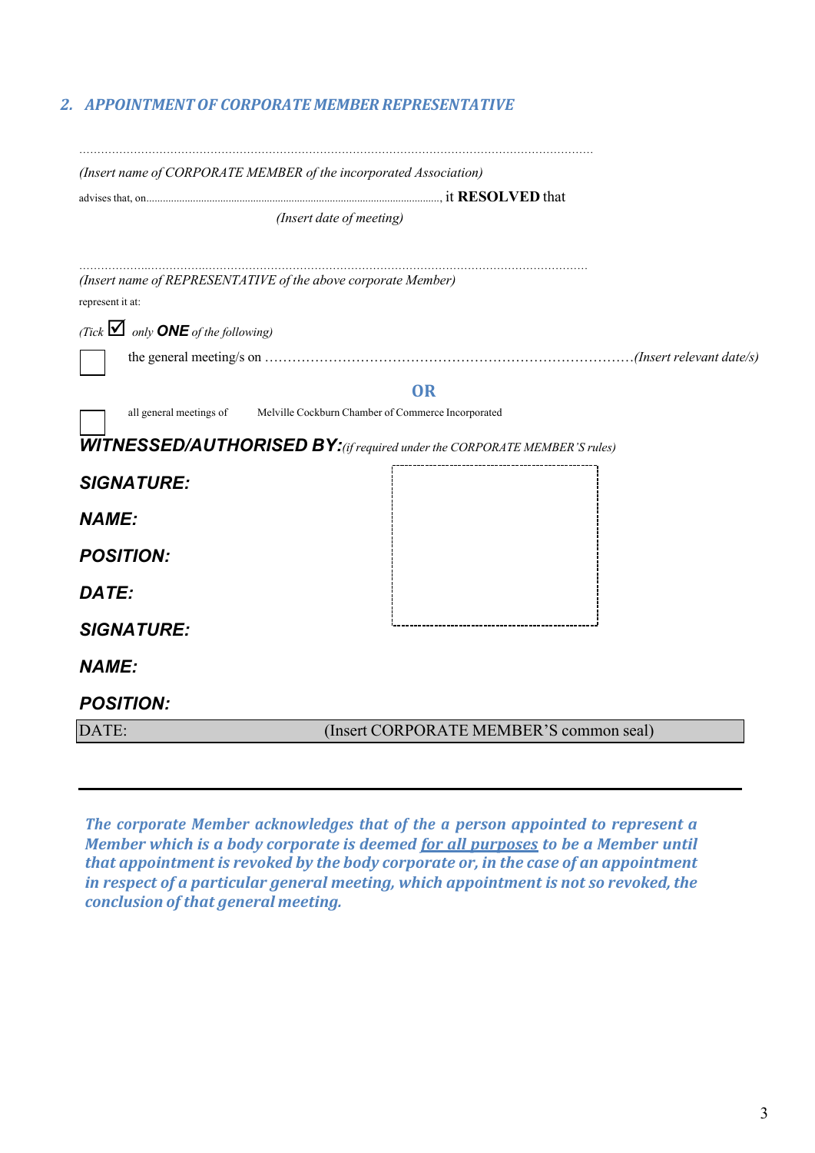#### *2. APPOINTMENTOF CORPORATE MEMBER REPRESENTATIVE*

| (Insert name of CORPORATE MEMBER of the incorporated Association)                |                                         |  |
|----------------------------------------------------------------------------------|-----------------------------------------|--|
|                                                                                  |                                         |  |
|                                                                                  | (Insert date of meeting)                |  |
|                                                                                  |                                         |  |
| (Insert name of REPRESENTATIVE of the above corporate Member)                    |                                         |  |
| represent it at:                                                                 |                                         |  |
| (Tick $\blacksquare$ only <b>ONE</b> of the following)                           |                                         |  |
|                                                                                  |                                         |  |
|                                                                                  | <b>OR</b>                               |  |
| all general meetings of Melville Cockburn Chamber of Commerce Incorporated       |                                         |  |
| <b>WITNESSED/AUTHORISED BY:</b> (if required under the CORPORATE MEMBER'S rules) |                                         |  |
| <b>SIGNATURE:</b>                                                                |                                         |  |
| <b>NAME:</b>                                                                     |                                         |  |
| <b>POSITION:</b>                                                                 |                                         |  |
| DATE:                                                                            |                                         |  |
| <b>SIGNATURE:</b>                                                                |                                         |  |
| <b>NAME:</b>                                                                     |                                         |  |
| <b>POSITION:</b>                                                                 |                                         |  |
| DATE:                                                                            | (Insert CORPORATE MEMBER'S common seal) |  |
|                                                                                  |                                         |  |

*The corporate Member acknowledges that of the a person appointed to represent a Member* which is a body corporate is deemed for all purposes to be a Member until *that appointment is revoked by the body corporate or, in the case of an appointment in respect of a particular general meeting, which appointment is not so revoked, the conclusion of that general meeting.*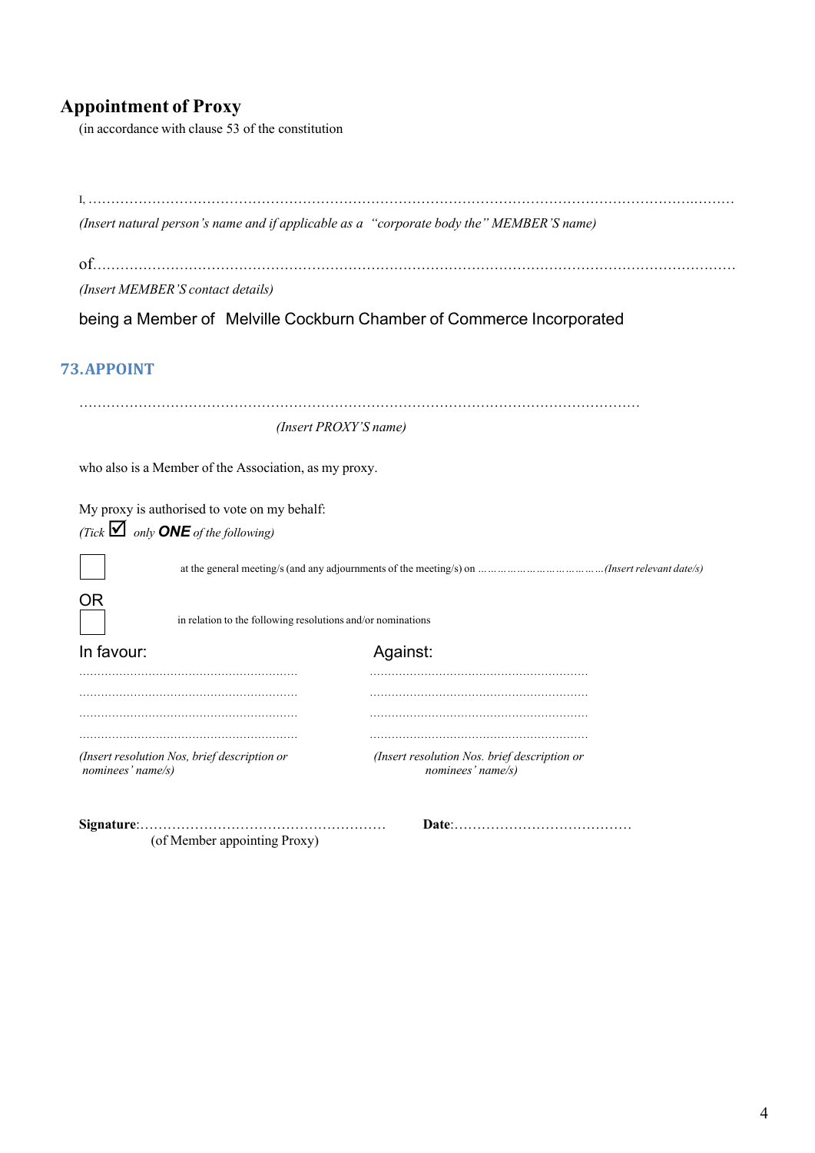## **Appointment of Proxy**

(in accordance with clause 53 of the constitution

| (Insert natural person's name and if applicable as a "corporate body the" MEMBER'S name) |                                                                      |
|------------------------------------------------------------------------------------------|----------------------------------------------------------------------|
|                                                                                          |                                                                      |
| (Insert MEMBER'S contact details)                                                        |                                                                      |
|                                                                                          | being a Member of Melville Cockburn Chamber of Commerce Incorporated |
| 73.APPOINT                                                                               |                                                                      |
| (Insert PROXY'S name)                                                                    |                                                                      |
| who also is a Member of the Association, as my proxy.                                    |                                                                      |
| My proxy is authorised to vote on my behalf:                                             |                                                                      |
| (Tick $\blacksquare$ only <b>ONE</b> of the following)                                   |                                                                      |
|                                                                                          |                                                                      |
| ΟR<br>in relation to the following resolutions and/or nominations                        |                                                                      |
| In favour:                                                                               | Against:                                                             |
|                                                                                          |                                                                      |
|                                                                                          |                                                                      |
| (Insert resolution Nos, brief description or<br>nominees' name/s)                        | (Insert resolution Nos. brief description or<br>nominees' name/s)    |
|                                                                                          |                                                                      |

(of Member appointing Proxy)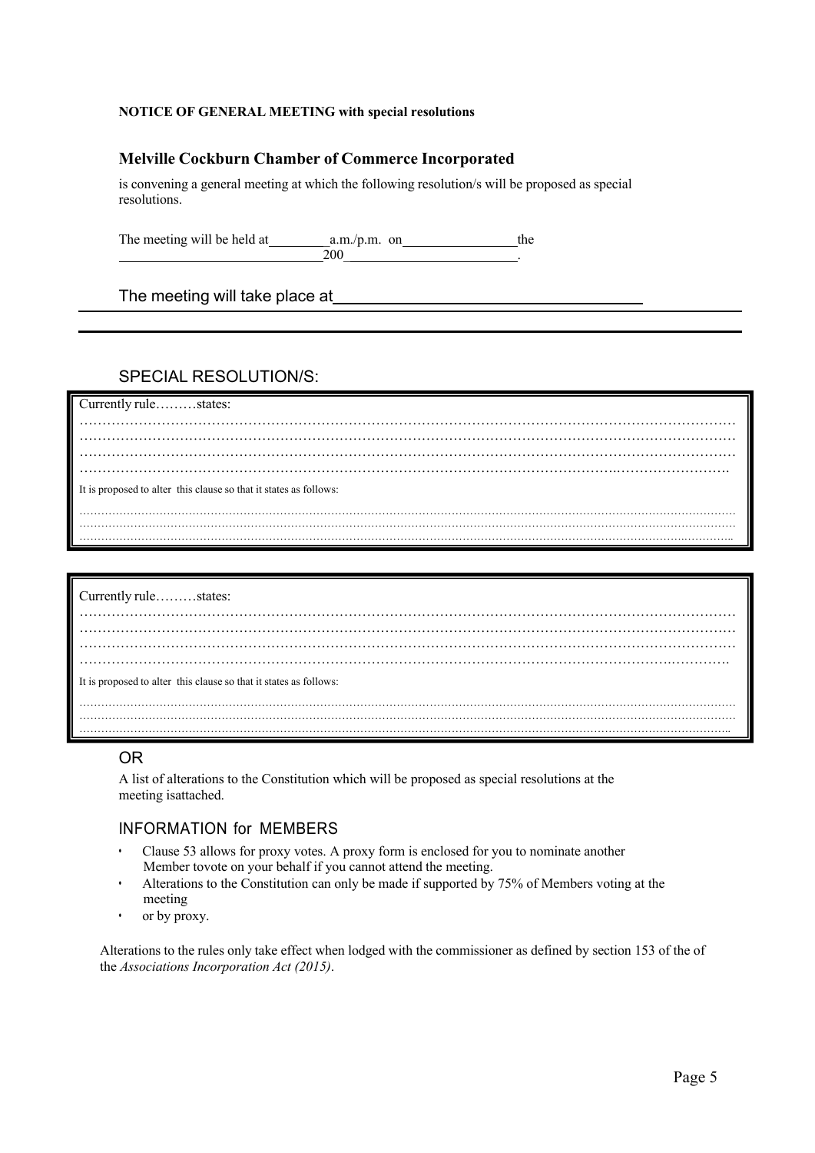#### **NOTICE OF GENERAL MEETING with special resolutions**

#### **Melville Cockburn Chamber of Commerce Incorporated**

is convening a general meeting at which the following resolution/s will be proposed as special resolutions.

The meeting will be held at \_a.m./p.m. on the  $200$  .

The meeting will take place at

#### SPECIAL RESOLUTION/S:

#### Currently rule………states: ……………………………………………………………………………………………………………………………… ……………………………………………………………………………………………………………………………… ……………………………………………………………………………………………………………………………… ……………………………………………………………………………………………………….……………………. It is proposed to alter this clause so that it states as follows: ……………………………………………………………………………………………………………………………………………………………… ………………………………………………………………………………………………………………………………………………….…………..

| Currently rulestates:                                             |  |  |  |  |  |
|-------------------------------------------------------------------|--|--|--|--|--|
|                                                                   |  |  |  |  |  |
|                                                                   |  |  |  |  |  |
| It is proposed to alter this clause so that it states as follows: |  |  |  |  |  |
|                                                                   |  |  |  |  |  |
|                                                                   |  |  |  |  |  |

#### OR

A list of alterations to the Constitution which will be proposed as special resolutions at the meeting isattached.

#### INFORMATION for MEMBERS

- Clause 53 allows for proxy votes. A proxy form is enclosed for you to nominate another Member tovote on your behalf if you cannot attend the meeting.
- Alterations to the Constitution can only be made if supported by 75% of Members voting at the meeting
- or by proxy.

Alterations to the rules only take effect when lodged with the commissioner as defined by section 153 of the of the *Associations Incorporation Act (2015)*.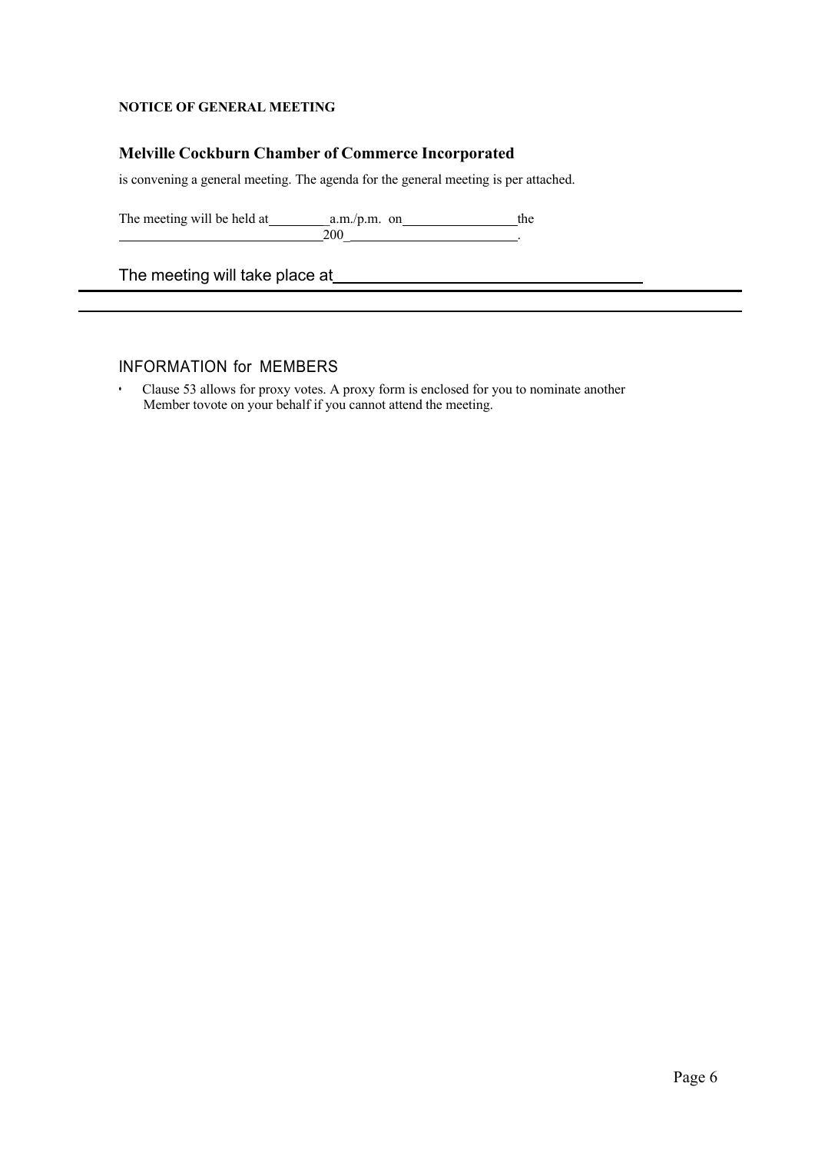#### **NOTICE OF GENERAL MEETING**

#### **Melville Cockburn Chamber of Commerce Incorporated**

is convening a general meeting. The agenda for the general meeting is per attached.

The meeting will be held at  $a.m./p.m.$  on the  $\frac{1}{200}$  .

The meeting will take place at\_

#### INFORMATION for MEMBERS

• Clause 53 allows for proxy votes. A proxy form is enclosed for you to nominate another Member tovote on your behalf if you cannot attend the meeting.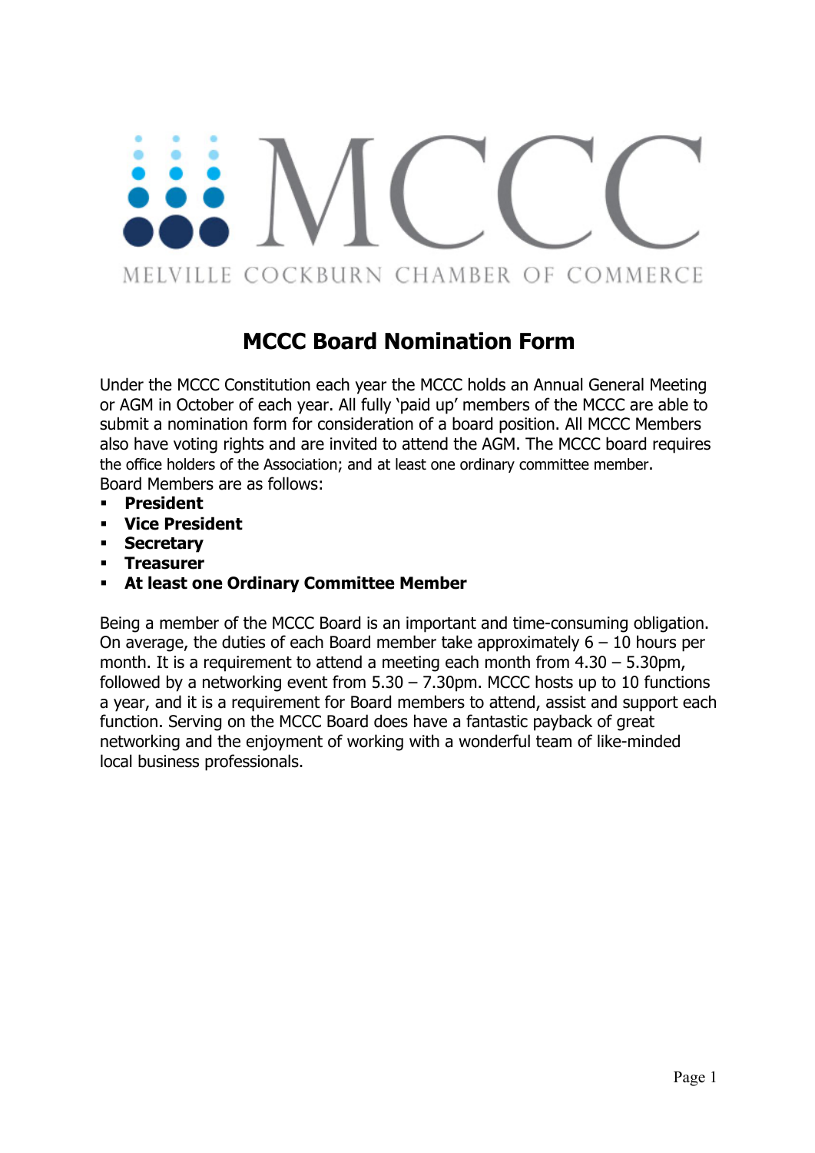# MELVILLE COCKBURN CHAMBER OF COMMERCE

## **MCCC Board Nomination Form**

Under the MCCC Constitution each year the MCCC holds an Annual General Meeting or AGM in October of each year. All fully 'paid up' members of the MCCC are able to submit a nomination form for consideration of a board position. All MCCC Members also have voting rights and are invited to attend the AGM. The MCCC board requires the office holders of the Association; and at least one ordinary committee member. Board Members are as follows:

- § **President**
- § **Vice President**
- § **Secretary**
- § **Treasurer**
- § **At least one Ordinary Committee Member**

Being a member of the MCCC Board is an important and time-consuming obligation. On average, the duties of each Board member take approximately  $6 - 10$  hours per month. It is a requirement to attend a meeting each month from 4.30 – 5.30pm, followed by a networking event from  $5.30 - 7.30$ pm. MCCC hosts up to 10 functions a year, and it is a requirement for Board members to attend, assist and support each function. Serving on the MCCC Board does have a fantastic payback of great networking and the enjoyment of working with a wonderful team of like-minded local business professionals.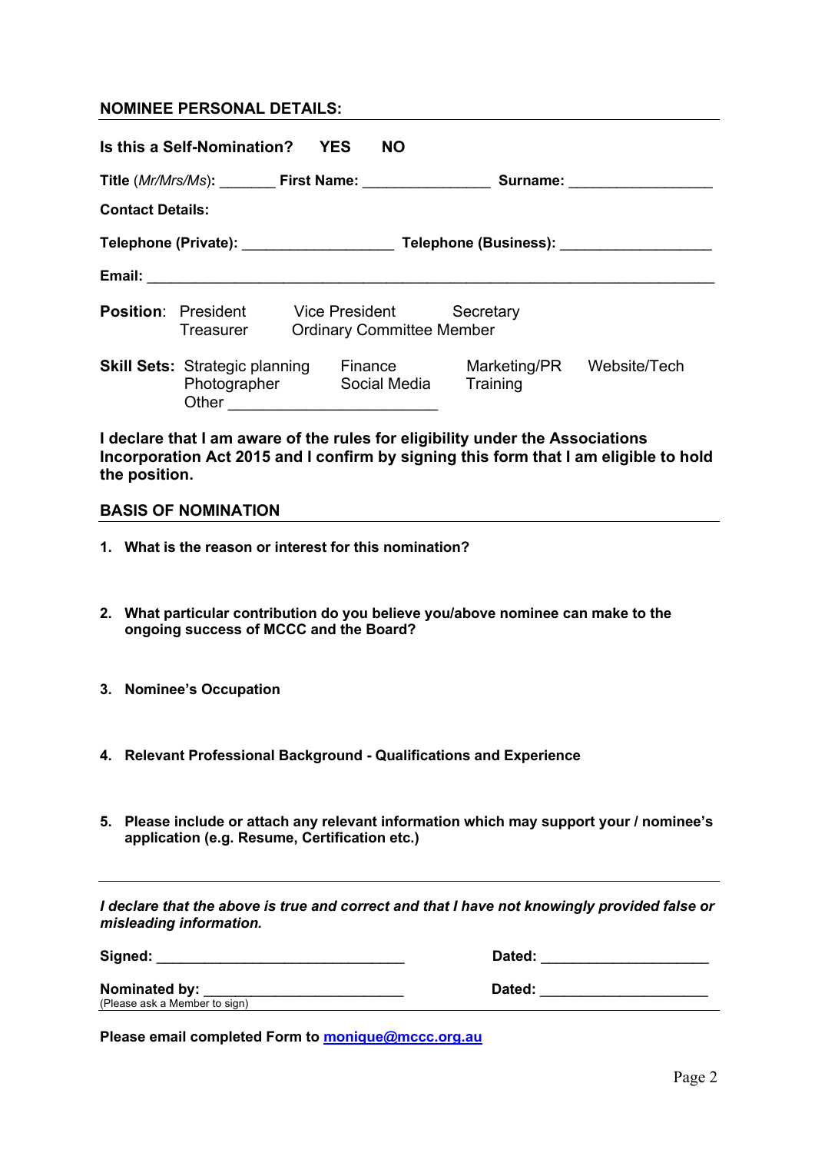#### **NOMINEE PERSONAL DETAILS:**

| Is this a Self-Nomination?<br><b>YES</b><br><b>NO</b>                                    |                                                                                                                 |  |                                                           |                          |                                                                                                                                                                                                                                |  |  |  |
|------------------------------------------------------------------------------------------|-----------------------------------------------------------------------------------------------------------------|--|-----------------------------------------------------------|--------------------------|--------------------------------------------------------------------------------------------------------------------------------------------------------------------------------------------------------------------------------|--|--|--|
|                                                                                          | Title (Mr/Mrs/Ms): First Name:                                                                                  |  |                                                           |                          | Surname: explorer and the set of the set of the set of the set of the set of the set of the set of the set of the set of the set of the set of the set of the set of the set of the set of the set of the set of the set of th |  |  |  |
| <b>Contact Details:</b>                                                                  |                                                                                                                 |  |                                                           |                          |                                                                                                                                                                                                                                |  |  |  |
| Telephone (Private): ____________________<br>Telephone (Business): Telephone (Business): |                                                                                                                 |  |                                                           |                          |                                                                                                                                                                                                                                |  |  |  |
|                                                                                          | Email: 2008. 2009. 2009. 2010. 2012. 2013. 2014. 2015. 2016. 2017. 2018. 2019. 2019. 2019. 2019. 2019. 2019. 20 |  |                                                           |                          |                                                                                                                                                                                                                                |  |  |  |
| <b>Position:</b> President                                                               | Treasurer                                                                                                       |  | <b>Vice President</b><br><b>Ordinary Committee Member</b> | Secretary                |                                                                                                                                                                                                                                |  |  |  |
|                                                                                          | <b>Skill Sets: Strategic planning</b><br>Photographer<br>Other                                                  |  | Finance<br>Social Media                                   | Marketing/PR<br>Training | Website/Tech                                                                                                                                                                                                                   |  |  |  |

**I declare that I am aware of the rules for eligibility under the Associations Incorporation Act 2015 and I confirm by signing this form that I am eligible to hold the position.**

#### **BASIS OF NOMINATION**

- **1. What is the reason or interest for this nomination?**
- **2. What particular contribution do you believe you/above nominee can make to the ongoing success of MCCC and the Board?**
- **3. Nominee's Occupation**
- **4. Relevant Professional Background - Qualifications and Experience**
- **5. Please include or attach any relevant information which may support your / nominee's application (e.g. Resume, Certification etc.)**

*I* declare that the above is true and correct and that *I* have not knowingly provided false or *misleading information.*

**Signed:** \_\_\_\_\_\_\_\_\_\_\_\_\_\_\_\_\_\_\_\_\_\_\_\_\_\_\_\_\_\_\_ **Dated:** \_\_\_\_\_\_\_\_\_\_\_\_\_\_\_\_\_\_\_\_\_

Nominated by:<br>
(Please ask a Member to sign)

**Nominated by:** \_\_\_\_\_\_\_\_\_\_\_\_\_\_\_\_\_\_\_\_\_\_\_\_\_ **Dated:** \_\_\_\_\_\_\_\_\_\_\_\_\_\_\_\_\_\_\_\_\_

**Please email completed Form to monique@mccc.org.au**